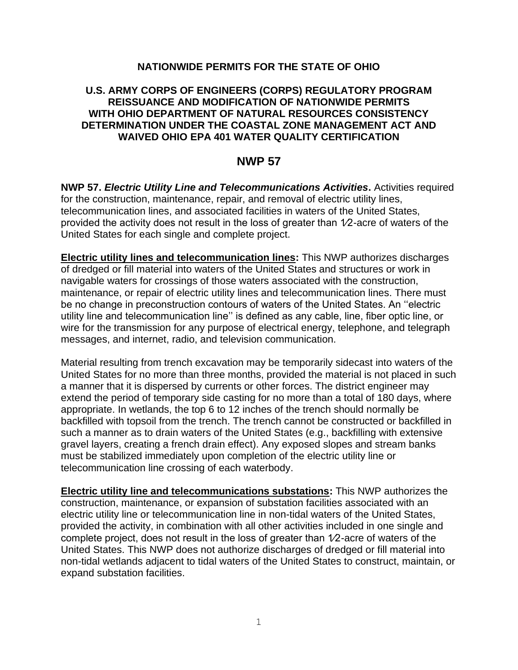#### **NATIONWIDE PERMITS FOR THE STATE OF OHIO**

#### **U.S. ARMY CORPS OF ENGINEERS (CORPS) REGULATORY PROGRAM REISSUANCE AND MODIFICATION OF NATIONWIDE PERMITS WITH OHIO DEPARTMENT OF NATURAL RESOURCES CONSISTENCY DETERMINATION UNDER THE COASTAL ZONE MANAGEMENT ACT AND WAIVED OHIO EPA 401 WATER QUALITY CERTIFICATION**

# **NWP 57**

**NWP 57.** *Electric Utility Line and Telecommunications Activities***.** Activities required for the construction, maintenance, repair, and removal of electric utility lines, telecommunication lines, and associated facilities in waters of the United States, provided the activity does not result in the loss of greater than 1⁄2-acre of waters of the United States for each single and complete project.

**Electric utility lines and telecommunication lines:** This NWP authorizes discharges of dredged or fill material into waters of the United States and structures or work in navigable waters for crossings of those waters associated with the construction, maintenance, or repair of electric utility lines and telecommunication lines. There must be no change in preconstruction contours of waters of the United States. An ''electric utility line and telecommunication line'' is defined as any cable, line, fiber optic line, or wire for the transmission for any purpose of electrical energy, telephone, and telegraph messages, and internet, radio, and television communication.

Material resulting from trench excavation may be temporarily sidecast into waters of the United States for no more than three months, provided the material is not placed in such a manner that it is dispersed by currents or other forces. The district engineer may extend the period of temporary side casting for no more than a total of 180 days, where appropriate. In wetlands, the top 6 to 12 inches of the trench should normally be backfilled with topsoil from the trench. The trench cannot be constructed or backfilled in such a manner as to drain waters of the United States (e.g., backfilling with extensive gravel layers, creating a french drain effect). Any exposed slopes and stream banks must be stabilized immediately upon completion of the electric utility line or telecommunication line crossing of each waterbody.

**Electric utility line and telecommunications substations:** This NWP authorizes the construction, maintenance, or expansion of substation facilities associated with an electric utility line or telecommunication line in non-tidal waters of the United States, provided the activity, in combination with all other activities included in one single and complete project, does not result in the loss of greater than 1⁄2-acre of waters of the United States. This NWP does not authorize discharges of dredged or fill material into non-tidal wetlands adjacent to tidal waters of the United States to construct, maintain, or expand substation facilities.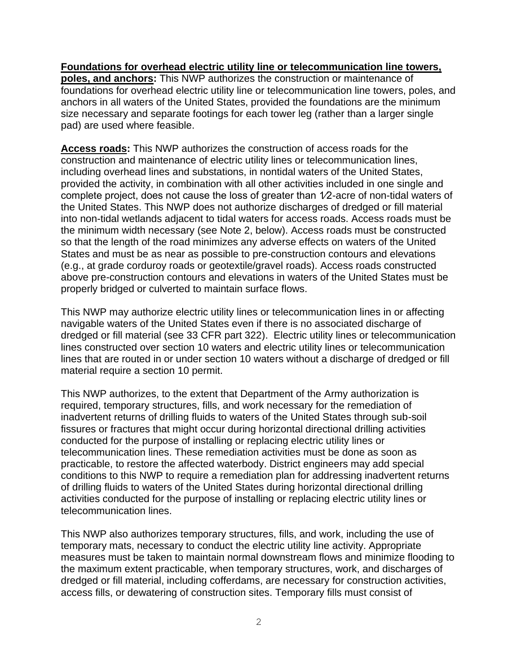**Foundations for overhead electric utility line or telecommunication line towers, poles, and anchors:** This NWP authorizes the construction or maintenance of foundations for overhead electric utility line or telecommunication line towers, poles, and anchors in all waters of the United States, provided the foundations are the minimum size necessary and separate footings for each tower leg (rather than a larger single pad) are used where feasible.

**Access roads:** This NWP authorizes the construction of access roads for the construction and maintenance of electric utility lines or telecommunication lines, including overhead lines and substations, in nontidal waters of the United States, provided the activity, in combination with all other activities included in one single and complete project, does not cause the loss of greater than 1⁄2-acre of non-tidal waters of the United States. This NWP does not authorize discharges of dredged or fill material into non-tidal wetlands adjacent to tidal waters for access roads. Access roads must be the minimum width necessary (see Note 2, below). Access roads must be constructed so that the length of the road minimizes any adverse effects on waters of the United States and must be as near as possible to pre-construction contours and elevations (e.g., at grade corduroy roads or geotextile/gravel roads). Access roads constructed above pre-construction contours and elevations in waters of the United States must be properly bridged or culverted to maintain surface flows.

This NWP may authorize electric utility lines or telecommunication lines in or affecting navigable waters of the United States even if there is no associated discharge of dredged or fill material (see 33 CFR part 322). Electric utility lines or telecommunication lines constructed over section 10 waters and electric utility lines or telecommunication lines that are routed in or under section 10 waters without a discharge of dredged or fill material require a section 10 permit.

This NWP authorizes, to the extent that Department of the Army authorization is required, temporary structures, fills, and work necessary for the remediation of inadvertent returns of drilling fluids to waters of the United States through sub-soil fissures or fractures that might occur during horizontal directional drilling activities conducted for the purpose of installing or replacing electric utility lines or telecommunication lines. These remediation activities must be done as soon as practicable, to restore the affected waterbody. District engineers may add special conditions to this NWP to require a remediation plan for addressing inadvertent returns of drilling fluids to waters of the United States during horizontal directional drilling activities conducted for the purpose of installing or replacing electric utility lines or telecommunication lines.

This NWP also authorizes temporary structures, fills, and work, including the use of temporary mats, necessary to conduct the electric utility line activity. Appropriate measures must be taken to maintain normal downstream flows and minimize flooding to the maximum extent practicable, when temporary structures, work, and discharges of dredged or fill material, including cofferdams, are necessary for construction activities, access fills, or dewatering of construction sites. Temporary fills must consist of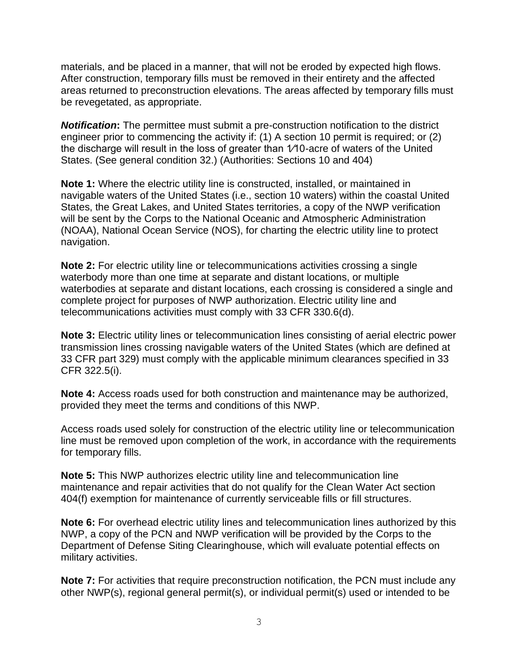materials, and be placed in a manner, that will not be eroded by expected high flows. After construction, temporary fills must be removed in their entirety and the affected areas returned to preconstruction elevations. The areas affected by temporary fills must be revegetated, as appropriate.

*Notification***:** The permittee must submit a pre-construction notification to the district engineer prior to commencing the activity if: (1) A section 10 permit is required; or (2) the discharge will result in the loss of greater than 1⁄10-acre of waters of the United States. (See general condition 32.) (Authorities: Sections 10 and 404)

**Note 1:** Where the electric utility line is constructed, installed, or maintained in navigable waters of the United States (i.e., section 10 waters) within the coastal United States, the Great Lakes, and United States territories, a copy of the NWP verification will be sent by the Corps to the National Oceanic and Atmospheric Administration (NOAA), National Ocean Service (NOS), for charting the electric utility line to protect navigation.

**Note 2:** For electric utility line or telecommunications activities crossing a single waterbody more than one time at separate and distant locations, or multiple waterbodies at separate and distant locations, each crossing is considered a single and complete project for purposes of NWP authorization. Electric utility line and telecommunications activities must comply with 33 CFR 330.6(d).

**Note 3:** Electric utility lines or telecommunication lines consisting of aerial electric power transmission lines crossing navigable waters of the United States (which are defined at 33 CFR part 329) must comply with the applicable minimum clearances specified in 33 CFR 322.5(i).

**Note 4:** Access roads used for both construction and maintenance may be authorized, provided they meet the terms and conditions of this NWP.

Access roads used solely for construction of the electric utility line or telecommunication line must be removed upon completion of the work, in accordance with the requirements for temporary fills.

**Note 5:** This NWP authorizes electric utility line and telecommunication line maintenance and repair activities that do not qualify for the Clean Water Act section 404(f) exemption for maintenance of currently serviceable fills or fill structures.

**Note 6:** For overhead electric utility lines and telecommunication lines authorized by this NWP, a copy of the PCN and NWP verification will be provided by the Corps to the Department of Defense Siting Clearinghouse, which will evaluate potential effects on military activities.

**Note 7:** For activities that require preconstruction notification, the PCN must include any other NWP(s), regional general permit(s), or individual permit(s) used or intended to be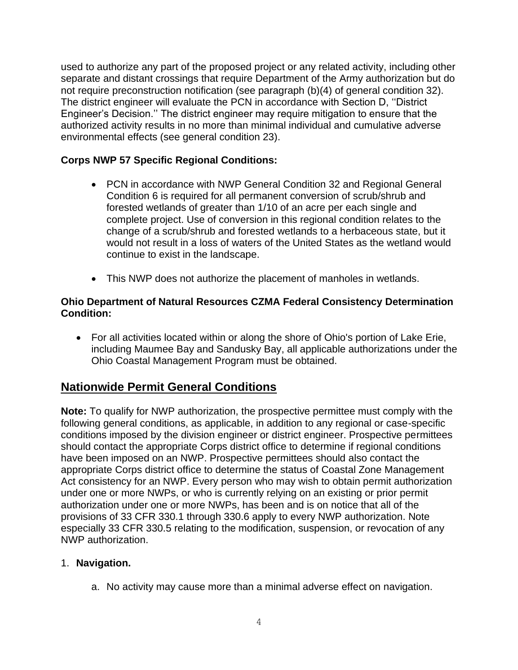used to authorize any part of the proposed project or any related activity, including other separate and distant crossings that require Department of the Army authorization but do not require preconstruction notification (see paragraph (b)(4) of general condition 32). The district engineer will evaluate the PCN in accordance with Section D, ''District Engineer's Decision.'' The district engineer may require mitigation to ensure that the authorized activity results in no more than minimal individual and cumulative adverse environmental effects (see general condition 23).

# **Corps NWP 57 Specific Regional Conditions:**

- PCN in accordance with NWP General Condition 32 and Regional General Condition 6 is required for all permanent conversion of scrub/shrub and forested wetlands of greater than 1/10 of an acre per each single and complete project. Use of conversion in this regional condition relates to the change of a scrub/shrub and forested wetlands to a herbaceous state, but it would not result in a loss of waters of the United States as the wetland would continue to exist in the landscape.
- This NWP does not authorize the placement of manholes in wetlands.

## **Ohio Department of Natural Resources CZMA Federal Consistency Determination Condition:**

• For all activities located within or along the shore of Ohio's portion of Lake Erie, including Maumee Bay and Sandusky Bay, all applicable authorizations under the Ohio Coastal Management Program must be obtained.

# **Nationwide Permit General Conditions**

**Note:** To qualify for NWP authorization, the prospective permittee must comply with the following general conditions, as applicable, in addition to any regional or case-specific conditions imposed by the division engineer or district engineer. Prospective permittees should contact the appropriate Corps district office to determine if regional conditions have been imposed on an NWP. Prospective permittees should also contact the appropriate Corps district office to determine the status of Coastal Zone Management Act consistency for an NWP. Every person who may wish to obtain permit authorization under one or more NWPs, or who is currently relying on an existing or prior permit authorization under one or more NWPs, has been and is on notice that all of the provisions of 33 CFR 330.1 through 330.6 apply to every NWP authorization. Note especially 33 CFR 330.5 relating to the modification, suspension, or revocation of any NWP authorization.

## 1. **Navigation.**

a. No activity may cause more than a minimal adverse effect on navigation.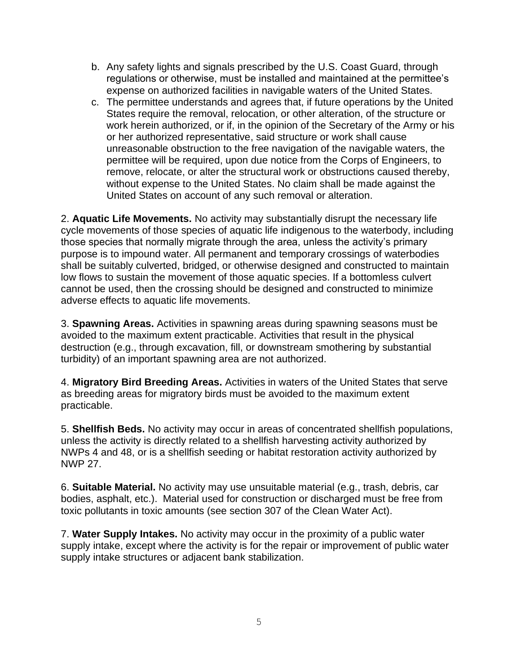- b. Any safety lights and signals prescribed by the U.S. Coast Guard, through regulations or otherwise, must be installed and maintained at the permittee's expense on authorized facilities in navigable waters of the United States.
- c. The permittee understands and agrees that, if future operations by the United States require the removal, relocation, or other alteration, of the structure or work herein authorized, or if, in the opinion of the Secretary of the Army or his or her authorized representative, said structure or work shall cause unreasonable obstruction to the free navigation of the navigable waters, the permittee will be required, upon due notice from the Corps of Engineers, to remove, relocate, or alter the structural work or obstructions caused thereby, without expense to the United States. No claim shall be made against the United States on account of any such removal or alteration.

2. **Aquatic Life Movements.** No activity may substantially disrupt the necessary life cycle movements of those species of aquatic life indigenous to the waterbody, including those species that normally migrate through the area, unless the activity's primary purpose is to impound water. All permanent and temporary crossings of waterbodies shall be suitably culverted, bridged, or otherwise designed and constructed to maintain low flows to sustain the movement of those aquatic species. If a bottomless culvert cannot be used, then the crossing should be designed and constructed to minimize adverse effects to aquatic life movements.

3. **Spawning Areas.** Activities in spawning areas during spawning seasons must be avoided to the maximum extent practicable. Activities that result in the physical destruction (e.g., through excavation, fill, or downstream smothering by substantial turbidity) of an important spawning area are not authorized.

4. **Migratory Bird Breeding Areas.** Activities in waters of the United States that serve as breeding areas for migratory birds must be avoided to the maximum extent practicable.

5. **Shellfish Beds.** No activity may occur in areas of concentrated shellfish populations, unless the activity is directly related to a shellfish harvesting activity authorized by NWPs 4 and 48, or is a shellfish seeding or habitat restoration activity authorized by NWP 27.

6. **Suitable Material.** No activity may use unsuitable material (e.g., trash, debris, car bodies, asphalt, etc.). Material used for construction or discharged must be free from toxic pollutants in toxic amounts (see section 307 of the Clean Water Act).

7. **Water Supply Intakes.** No activity may occur in the proximity of a public water supply intake, except where the activity is for the repair or improvement of public water supply intake structures or adjacent bank stabilization.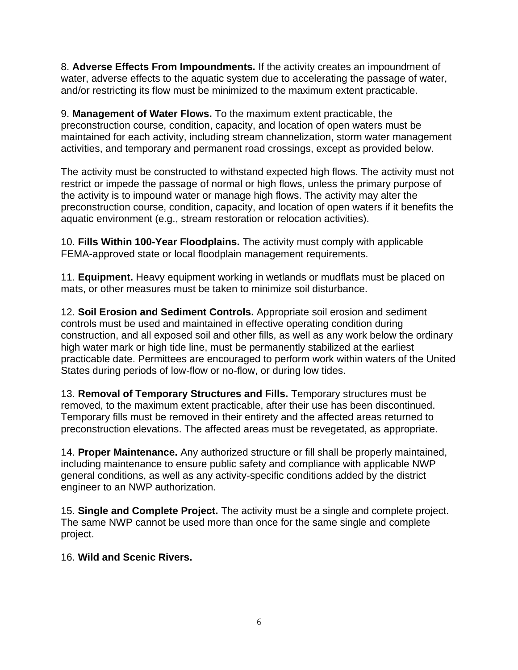8. **Adverse Effects From Impoundments.** If the activity creates an impoundment of water, adverse effects to the aquatic system due to accelerating the passage of water, and/or restricting its flow must be minimized to the maximum extent practicable.

9. **Management of Water Flows.** To the maximum extent practicable, the preconstruction course, condition, capacity, and location of open waters must be maintained for each activity, including stream channelization, storm water management activities, and temporary and permanent road crossings, except as provided below.

The activity must be constructed to withstand expected high flows. The activity must not restrict or impede the passage of normal or high flows, unless the primary purpose of the activity is to impound water or manage high flows. The activity may alter the preconstruction course, condition, capacity, and location of open waters if it benefits the aquatic environment (e.g., stream restoration or relocation activities).

10. **Fills Within 100-Year Floodplains.** The activity must comply with applicable FEMA-approved state or local floodplain management requirements.

11. **Equipment.** Heavy equipment working in wetlands or mudflats must be placed on mats, or other measures must be taken to minimize soil disturbance.

12. **Soil Erosion and Sediment Controls.** Appropriate soil erosion and sediment controls must be used and maintained in effective operating condition during construction, and all exposed soil and other fills, as well as any work below the ordinary high water mark or high tide line, must be permanently stabilized at the earliest practicable date. Permittees are encouraged to perform work within waters of the United States during periods of low-flow or no-flow, or during low tides.

13. **Removal of Temporary Structures and Fills.** Temporary structures must be removed, to the maximum extent practicable, after their use has been discontinued. Temporary fills must be removed in their entirety and the affected areas returned to preconstruction elevations. The affected areas must be revegetated, as appropriate.

14. **Proper Maintenance.** Any authorized structure or fill shall be properly maintained, including maintenance to ensure public safety and compliance with applicable NWP general conditions, as well as any activity-specific conditions added by the district engineer to an NWP authorization.

15. **Single and Complete Project.** The activity must be a single and complete project. The same NWP cannot be used more than once for the same single and complete project.

16. **Wild and Scenic Rivers.**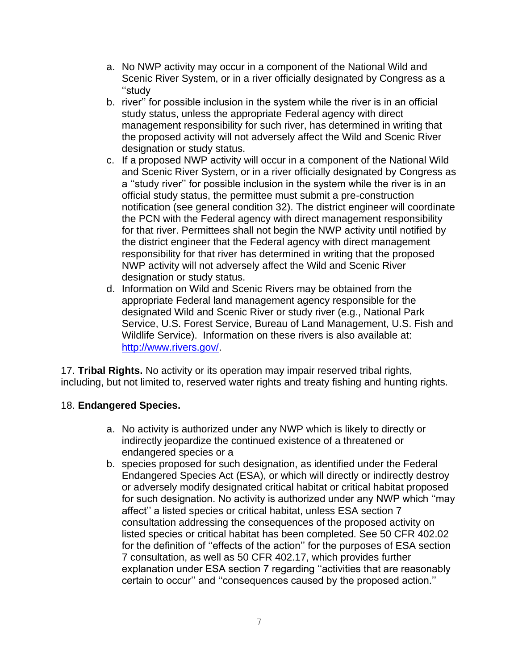- a. No NWP activity may occur in a component of the National Wild and Scenic River System, or in a river officially designated by Congress as a ''study
- b. river'' for possible inclusion in the system while the river is in an official study status, unless the appropriate Federal agency with direct management responsibility for such river, has determined in writing that the proposed activity will not adversely affect the Wild and Scenic River designation or study status.
- c. If a proposed NWP activity will occur in a component of the National Wild and Scenic River System, or in a river officially designated by Congress as a ''study river'' for possible inclusion in the system while the river is in an official study status, the permittee must submit a pre-construction notification (see general condition 32). The district engineer will coordinate the PCN with the Federal agency with direct management responsibility for that river. Permittees shall not begin the NWP activity until notified by the district engineer that the Federal agency with direct management responsibility for that river has determined in writing that the proposed NWP activity will not adversely affect the Wild and Scenic River designation or study status.
- d. Information on Wild and Scenic Rivers may be obtained from the appropriate Federal land management agency responsible for the designated Wild and Scenic River or study river (e.g., National Park Service, U.S. Forest Service, Bureau of Land Management, U.S. Fish and Wildlife Service). Information on these rivers is also available at: [http://www.rivers.gov/.](http://www.rivers.gov/)

17. **Tribal Rights.** No activity or its operation may impair reserved tribal rights, including, but not limited to, reserved water rights and treaty fishing and hunting rights.

## 18. **Endangered Species.**

- a. No activity is authorized under any NWP which is likely to directly or indirectly jeopardize the continued existence of a threatened or endangered species or a
- b. species proposed for such designation, as identified under the Federal Endangered Species Act (ESA), or which will directly or indirectly destroy or adversely modify designated critical habitat or critical habitat proposed for such designation. No activity is authorized under any NWP which ''may affect'' a listed species or critical habitat, unless ESA section 7 consultation addressing the consequences of the proposed activity on listed species or critical habitat has been completed. See 50 CFR 402.02 for the definition of ''effects of the action'' for the purposes of ESA section 7 consultation, as well as 50 CFR 402.17, which provides further explanation under ESA section 7 regarding ''activities that are reasonably certain to occur'' and ''consequences caused by the proposed action.''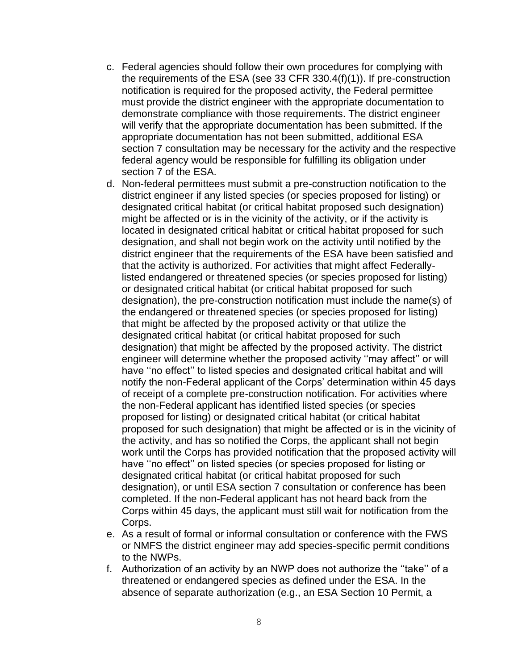- c. Federal agencies should follow their own procedures for complying with the requirements of the ESA (see 33 CFR 330.4(f)(1)). If pre-construction notification is required for the proposed activity, the Federal permittee must provide the district engineer with the appropriate documentation to demonstrate compliance with those requirements. The district engineer will verify that the appropriate documentation has been submitted. If the appropriate documentation has not been submitted, additional ESA section 7 consultation may be necessary for the activity and the respective federal agency would be responsible for fulfilling its obligation under section 7 of the ESA.
- d. Non-federal permittees must submit a pre-construction notification to the district engineer if any listed species (or species proposed for listing) or designated critical habitat (or critical habitat proposed such designation) might be affected or is in the vicinity of the activity, or if the activity is located in designated critical habitat or critical habitat proposed for such designation, and shall not begin work on the activity until notified by the district engineer that the requirements of the ESA have been satisfied and that the activity is authorized. For activities that might affect Federallylisted endangered or threatened species (or species proposed for listing) or designated critical habitat (or critical habitat proposed for such designation), the pre-construction notification must include the name(s) of the endangered or threatened species (or species proposed for listing) that might be affected by the proposed activity or that utilize the designated critical habitat (or critical habitat proposed for such designation) that might be affected by the proposed activity. The district engineer will determine whether the proposed activity ''may affect'' or will have ''no effect'' to listed species and designated critical habitat and will notify the non-Federal applicant of the Corps' determination within 45 days of receipt of a complete pre-construction notification. For activities where the non-Federal applicant has identified listed species (or species proposed for listing) or designated critical habitat (or critical habitat proposed for such designation) that might be affected or is in the vicinity of the activity, and has so notified the Corps, the applicant shall not begin work until the Corps has provided notification that the proposed activity will have ''no effect'' on listed species (or species proposed for listing or designated critical habitat (or critical habitat proposed for such designation), or until ESA section 7 consultation or conference has been completed. If the non-Federal applicant has not heard back from the Corps within 45 days, the applicant must still wait for notification from the Corps.
- e. As a result of formal or informal consultation or conference with the FWS or NMFS the district engineer may add species-specific permit conditions to the NWPs.
- f. Authorization of an activity by an NWP does not authorize the ''take'' of a threatened or endangered species as defined under the ESA. In the absence of separate authorization (e.g., an ESA Section 10 Permit, a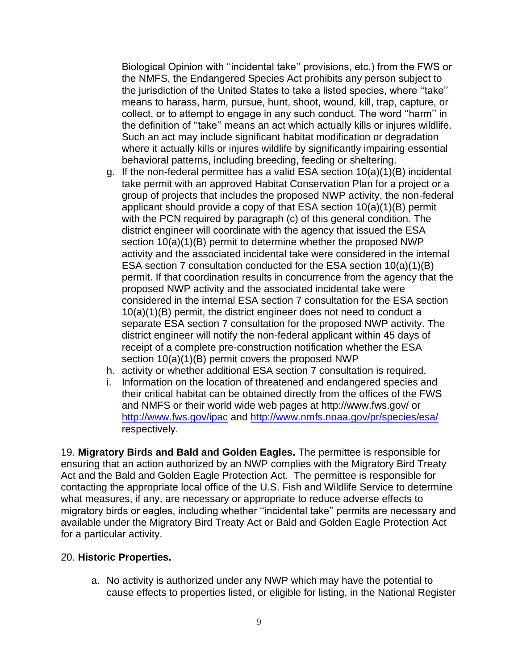Biological Opinion with ''incidental take'' provisions, etc.) from the FWS or the NMFS, the Endangered Species Act prohibits any person subject to the jurisdiction of the United States to take a listed species, where ''take'' means to harass, harm, pursue, hunt, shoot, wound, kill, trap, capture, or collect, or to attempt to engage in any such conduct. The word ''harm'' in the definition of ''take'' means an act which actually kills or injures wildlife. Such an act may include significant habitat modification or degradation where it actually kills or injures wildlife by significantly impairing essential behavioral patterns, including breeding, feeding or sheltering.

- g. If the non-federal permittee has a valid ESA section 10(a)(1)(B) incidental take permit with an approved Habitat Conservation Plan for a project or a group of projects that includes the proposed NWP activity, the non-federal applicant should provide a copy of that ESA section 10(a)(1)(B) permit with the PCN required by paragraph (c) of this general condition. The district engineer will coordinate with the agency that issued the ESA section 10(a)(1)(B) permit to determine whether the proposed NWP activity and the associated incidental take were considered in the internal ESA section 7 consultation conducted for the ESA section 10(a)(1)(B) permit. If that coordination results in concurrence from the agency that the proposed NWP activity and the associated incidental take were considered in the internal ESA section 7 consultation for the ESA section 10(a)(1)(B) permit, the district engineer does not need to conduct a separate ESA section 7 consultation for the proposed NWP activity. The district engineer will notify the non-federal applicant within 45 days of receipt of a complete pre-construction notification whether the ESA section 10(a)(1)(B) permit covers the proposed NWP
- h. activity or whether additional ESA section 7 consultation is required.
- i. Information on the location of threatened and endangered species and their critical habitat can be obtained directly from the offices of the FWS and NMFS or their world wide web pages at http://www.fws.gov/ or <http://www.fws.gov/ipac> and<http://www.nmfs.noaa.gov/pr/species/esa/> respectively.

19. **Migratory Birds and Bald and Golden Eagles.** The permittee is responsible for ensuring that an action authorized by an NWP complies with the Migratory Bird Treaty Act and the Bald and Golden Eagle Protection Act. The permittee is responsible for contacting the appropriate local office of the U.S. Fish and Wildlife Service to determine what measures, if any, are necessary or appropriate to reduce adverse effects to migratory birds or eagles, including whether ''incidental take'' permits are necessary and available under the Migratory Bird Treaty Act or Bald and Golden Eagle Protection Act for a particular activity.

#### 20. **Historic Properties.**

a. No activity is authorized under any NWP which may have the potential to cause effects to properties listed, or eligible for listing, in the National Register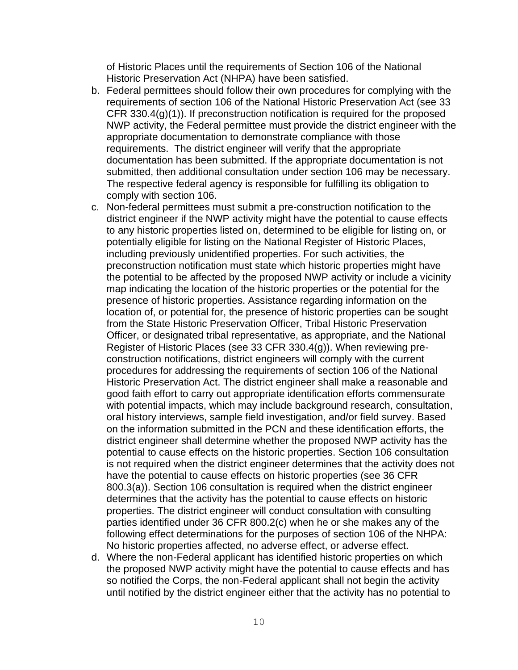of Historic Places until the requirements of Section 106 of the National Historic Preservation Act (NHPA) have been satisfied.

- b. Federal permittees should follow their own procedures for complying with the requirements of section 106 of the National Historic Preservation Act (see 33 CFR  $330.4(g)(1)$ ). If preconstruction notification is required for the proposed NWP activity, the Federal permittee must provide the district engineer with the appropriate documentation to demonstrate compliance with those requirements. The district engineer will verify that the appropriate documentation has been submitted. If the appropriate documentation is not submitted, then additional consultation under section 106 may be necessary. The respective federal agency is responsible for fulfilling its obligation to comply with section 106.
- c. Non-federal permittees must submit a pre-construction notification to the district engineer if the NWP activity might have the potential to cause effects to any historic properties listed on, determined to be eligible for listing on, or potentially eligible for listing on the National Register of Historic Places, including previously unidentified properties. For such activities, the preconstruction notification must state which historic properties might have the potential to be affected by the proposed NWP activity or include a vicinity map indicating the location of the historic properties or the potential for the presence of historic properties. Assistance regarding information on the location of, or potential for, the presence of historic properties can be sought from the State Historic Preservation Officer, Tribal Historic Preservation Officer, or designated tribal representative, as appropriate, and the National Register of Historic Places (see 33 CFR 330.4(g)). When reviewing preconstruction notifications, district engineers will comply with the current procedures for addressing the requirements of section 106 of the National Historic Preservation Act. The district engineer shall make a reasonable and good faith effort to carry out appropriate identification efforts commensurate with potential impacts, which may include background research, consultation, oral history interviews, sample field investigation, and/or field survey. Based on the information submitted in the PCN and these identification efforts, the district engineer shall determine whether the proposed NWP activity has the potential to cause effects on the historic properties. Section 106 consultation is not required when the district engineer determines that the activity does not have the potential to cause effects on historic properties (see 36 CFR 800.3(a)). Section 106 consultation is required when the district engineer determines that the activity has the potential to cause effects on historic properties. The district engineer will conduct consultation with consulting parties identified under 36 CFR 800.2(c) when he or she makes any of the following effect determinations for the purposes of section 106 of the NHPA: No historic properties affected, no adverse effect, or adverse effect.
- d. Where the non-Federal applicant has identified historic properties on which the proposed NWP activity might have the potential to cause effects and has so notified the Corps, the non-Federal applicant shall not begin the activity until notified by the district engineer either that the activity has no potential to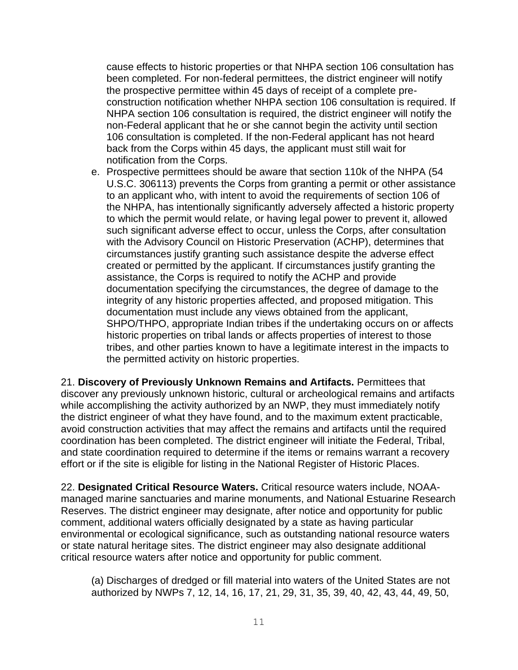cause effects to historic properties or that NHPA section 106 consultation has been completed. For non-federal permittees, the district engineer will notify the prospective permittee within 45 days of receipt of a complete preconstruction notification whether NHPA section 106 consultation is required. If NHPA section 106 consultation is required, the district engineer will notify the non-Federal applicant that he or she cannot begin the activity until section 106 consultation is completed. If the non-Federal applicant has not heard back from the Corps within 45 days, the applicant must still wait for notification from the Corps.

e. Prospective permittees should be aware that section 110k of the NHPA (54 U.S.C. 306113) prevents the Corps from granting a permit or other assistance to an applicant who, with intent to avoid the requirements of section 106 of the NHPA, has intentionally significantly adversely affected a historic property to which the permit would relate, or having legal power to prevent it, allowed such significant adverse effect to occur, unless the Corps, after consultation with the Advisory Council on Historic Preservation (ACHP), determines that circumstances justify granting such assistance despite the adverse effect created or permitted by the applicant. If circumstances justify granting the assistance, the Corps is required to notify the ACHP and provide documentation specifying the circumstances, the degree of damage to the integrity of any historic properties affected, and proposed mitigation. This documentation must include any views obtained from the applicant, SHPO/THPO, appropriate Indian tribes if the undertaking occurs on or affects historic properties on tribal lands or affects properties of interest to those tribes, and other parties known to have a legitimate interest in the impacts to the permitted activity on historic properties.

21. **Discovery of Previously Unknown Remains and Artifacts.** Permittees that discover any previously unknown historic, cultural or archeological remains and artifacts while accomplishing the activity authorized by an NWP, they must immediately notify the district engineer of what they have found, and to the maximum extent practicable, avoid construction activities that may affect the remains and artifacts until the required coordination has been completed. The district engineer will initiate the Federal, Tribal, and state coordination required to determine if the items or remains warrant a recovery effort or if the site is eligible for listing in the National Register of Historic Places.

22. **Designated Critical Resource Waters.** Critical resource waters include, NOAAmanaged marine sanctuaries and marine monuments, and National Estuarine Research Reserves. The district engineer may designate, after notice and opportunity for public comment, additional waters officially designated by a state as having particular environmental or ecological significance, such as outstanding national resource waters or state natural heritage sites. The district engineer may also designate additional critical resource waters after notice and opportunity for public comment.

(a) Discharges of dredged or fill material into waters of the United States are not authorized by NWPs 7, 12, 14, 16, 17, 21, 29, 31, 35, 39, 40, 42, 43, 44, 49, 50,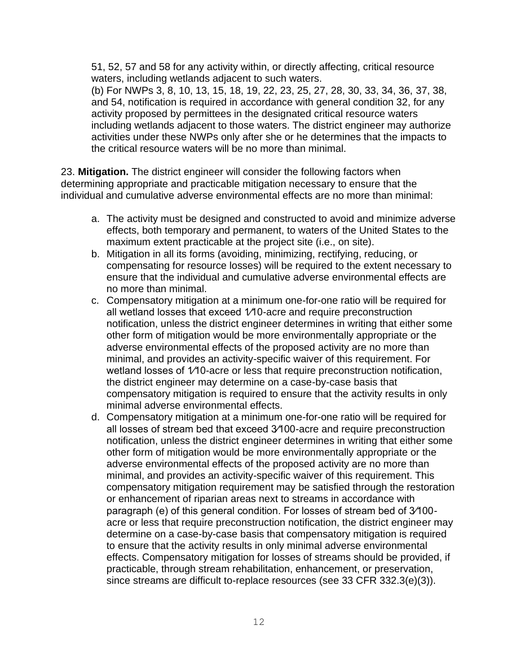51, 52, 57 and 58 for any activity within, or directly affecting, critical resource waters, including wetlands adjacent to such waters.

(b) For NWPs 3, 8, 10, 13, 15, 18, 19, 22, 23, 25, 27, 28, 30, 33, 34, 36, 37, 38, and 54, notification is required in accordance with general condition 32, for any activity proposed by permittees in the designated critical resource waters including wetlands adjacent to those waters. The district engineer may authorize activities under these NWPs only after she or he determines that the impacts to the critical resource waters will be no more than minimal.

23. **Mitigation.** The district engineer will consider the following factors when determining appropriate and practicable mitigation necessary to ensure that the individual and cumulative adverse environmental effects are no more than minimal:

- a. The activity must be designed and constructed to avoid and minimize adverse effects, both temporary and permanent, to waters of the United States to the maximum extent practicable at the project site (i.e., on site).
- b. Mitigation in all its forms (avoiding, minimizing, rectifying, reducing, or compensating for resource losses) will be required to the extent necessary to ensure that the individual and cumulative adverse environmental effects are no more than minimal.
- c. Compensatory mitigation at a minimum one-for-one ratio will be required for all wetland losses that exceed 1/10-acre and require preconstruction notification, unless the district engineer determines in writing that either some other form of mitigation would be more environmentally appropriate or the adverse environmental effects of the proposed activity are no more than minimal, and provides an activity-specific waiver of this requirement. For wetland losses of 1/10-acre or less that require preconstruction notification, the district engineer may determine on a case-by-case basis that compensatory mitigation is required to ensure that the activity results in only minimal adverse environmental effects.
- d. Compensatory mitigation at a minimum one-for-one ratio will be required for all losses of stream bed that exceed 3⁄100-acre and require preconstruction notification, unless the district engineer determines in writing that either some other form of mitigation would be more environmentally appropriate or the adverse environmental effects of the proposed activity are no more than minimal, and provides an activity-specific waiver of this requirement. This compensatory mitigation requirement may be satisfied through the restoration or enhancement of riparian areas next to streams in accordance with paragraph (e) of this general condition. For losses of stream bed of 3⁄100 acre or less that require preconstruction notification, the district engineer may determine on a case-by-case basis that compensatory mitigation is required to ensure that the activity results in only minimal adverse environmental effects. Compensatory mitigation for losses of streams should be provided, if practicable, through stream rehabilitation, enhancement, or preservation, since streams are difficult to-replace resources (see 33 CFR 332.3(e)(3)).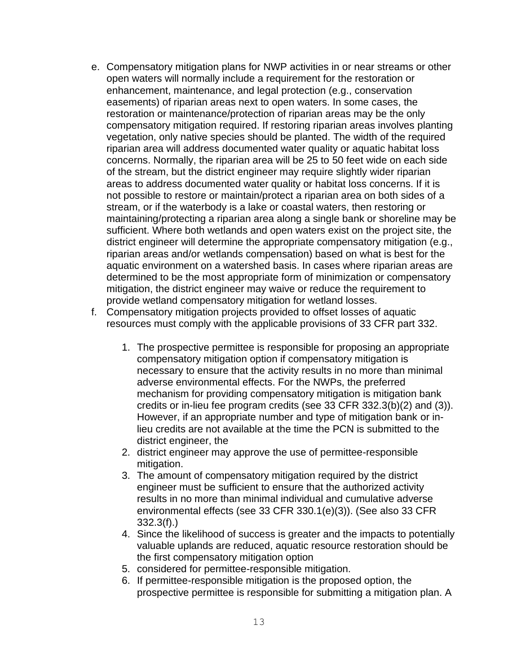- e. Compensatory mitigation plans for NWP activities in or near streams or other open waters will normally include a requirement for the restoration or enhancement, maintenance, and legal protection (e.g., conservation easements) of riparian areas next to open waters. In some cases, the restoration or maintenance/protection of riparian areas may be the only compensatory mitigation required. If restoring riparian areas involves planting vegetation, only native species should be planted. The width of the required riparian area will address documented water quality or aquatic habitat loss concerns. Normally, the riparian area will be 25 to 50 feet wide on each side of the stream, but the district engineer may require slightly wider riparian areas to address documented water quality or habitat loss concerns. If it is not possible to restore or maintain/protect a riparian area on both sides of a stream, or if the waterbody is a lake or coastal waters, then restoring or maintaining/protecting a riparian area along a single bank or shoreline may be sufficient. Where both wetlands and open waters exist on the project site, the district engineer will determine the appropriate compensatory mitigation (e.g., riparian areas and/or wetlands compensation) based on what is best for the aquatic environment on a watershed basis. In cases where riparian areas are determined to be the most appropriate form of minimization or compensatory mitigation, the district engineer may waive or reduce the requirement to provide wetland compensatory mitigation for wetland losses.
- f. Compensatory mitigation projects provided to offset losses of aquatic resources must comply with the applicable provisions of 33 CFR part 332.
	- 1. The prospective permittee is responsible for proposing an appropriate compensatory mitigation option if compensatory mitigation is necessary to ensure that the activity results in no more than minimal adverse environmental effects. For the NWPs, the preferred mechanism for providing compensatory mitigation is mitigation bank credits or in-lieu fee program credits (see 33 CFR 332.3(b)(2) and (3)). However, if an appropriate number and type of mitigation bank or inlieu credits are not available at the time the PCN is submitted to the district engineer, the
	- 2. district engineer may approve the use of permittee-responsible mitigation.
	- 3. The amount of compensatory mitigation required by the district engineer must be sufficient to ensure that the authorized activity results in no more than minimal individual and cumulative adverse environmental effects (see 33 CFR 330.1(e)(3)). (See also 33 CFR 332.3(f).)
	- 4. Since the likelihood of success is greater and the impacts to potentially valuable uplands are reduced, aquatic resource restoration should be the first compensatory mitigation option
	- 5. considered for permittee-responsible mitigation.
	- 6. If permittee-responsible mitigation is the proposed option, the prospective permittee is responsible for submitting a mitigation plan. A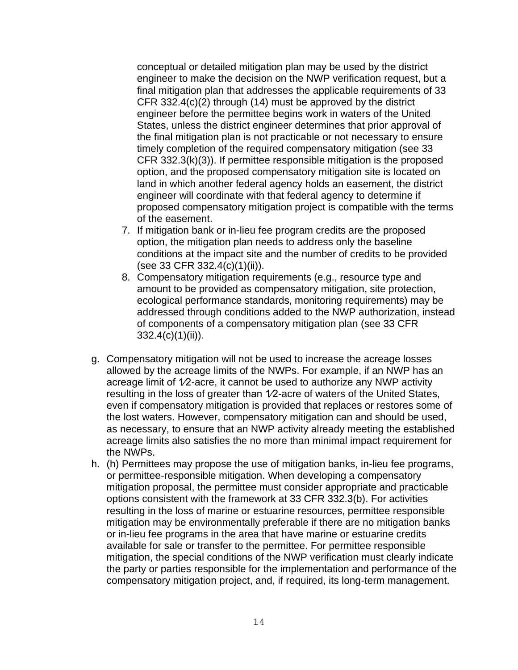conceptual or detailed mitigation plan may be used by the district engineer to make the decision on the NWP verification request, but a final mitigation plan that addresses the applicable requirements of 33 CFR 332.4(c)(2) through (14) must be approved by the district engineer before the permittee begins work in waters of the United States, unless the district engineer determines that prior approval of the final mitigation plan is not practicable or not necessary to ensure timely completion of the required compensatory mitigation (see 33 CFR 332.3(k)(3)). If permittee responsible mitigation is the proposed option, and the proposed compensatory mitigation site is located on land in which another federal agency holds an easement, the district engineer will coordinate with that federal agency to determine if proposed compensatory mitigation project is compatible with the terms of the easement.

- 7. If mitigation bank or in-lieu fee program credits are the proposed option, the mitigation plan needs to address only the baseline conditions at the impact site and the number of credits to be provided (see 33 CFR 332.4(c)(1)(ii)).
- 8. Compensatory mitigation requirements (e.g., resource type and amount to be provided as compensatory mitigation, site protection, ecological performance standards, monitoring requirements) may be addressed through conditions added to the NWP authorization, instead of components of a compensatory mitigation plan (see 33 CFR 332.4(c)(1)(ii)).
- g. Compensatory mitigation will not be used to increase the acreage losses allowed by the acreage limits of the NWPs. For example, if an NWP has an acreage limit of 1/2-acre, it cannot be used to authorize any NWP activity resulting in the loss of greater than 1⁄2-acre of waters of the United States, even if compensatory mitigation is provided that replaces or restores some of the lost waters. However, compensatory mitigation can and should be used, as necessary, to ensure that an NWP activity already meeting the established acreage limits also satisfies the no more than minimal impact requirement for the NWPs.
- h. (h) Permittees may propose the use of mitigation banks, in-lieu fee programs, or permittee-responsible mitigation. When developing a compensatory mitigation proposal, the permittee must consider appropriate and practicable options consistent with the framework at 33 CFR 332.3(b). For activities resulting in the loss of marine or estuarine resources, permittee responsible mitigation may be environmentally preferable if there are no mitigation banks or in-lieu fee programs in the area that have marine or estuarine credits available for sale or transfer to the permittee. For permittee responsible mitigation, the special conditions of the NWP verification must clearly indicate the party or parties responsible for the implementation and performance of the compensatory mitigation project, and, if required, its long-term management.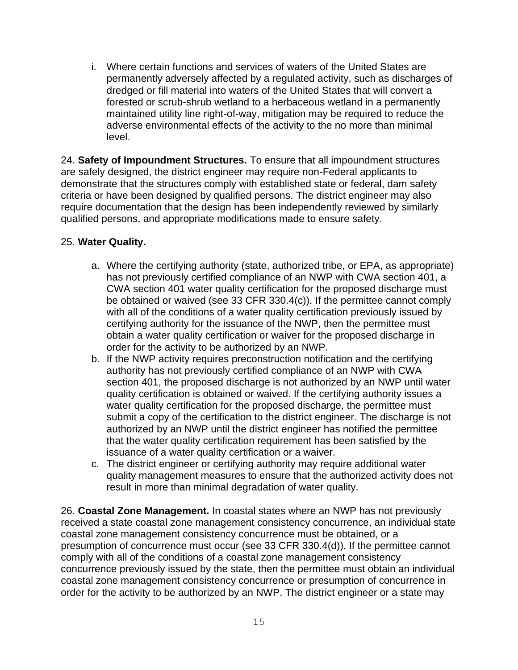i. Where certain functions and services of waters of the United States are permanently adversely affected by a regulated activity, such as discharges of dredged or fill material into waters of the United States that will convert a forested or scrub-shrub wetland to a herbaceous wetland in a permanently maintained utility line right-of-way, mitigation may be required to reduce the adverse environmental effects of the activity to the no more than minimal level.

24. **Safety of Impoundment Structures.** To ensure that all impoundment structures are safely designed, the district engineer may require non-Federal applicants to demonstrate that the structures comply with established state or federal, dam safety criteria or have been designed by qualified persons. The district engineer may also require documentation that the design has been independently reviewed by similarly qualified persons, and appropriate modifications made to ensure safety.

#### 25. **Water Quality.**

- a. Where the certifying authority (state, authorized tribe, or EPA, as appropriate) has not previously certified compliance of an NWP with CWA section 401, a CWA section 401 water quality certification for the proposed discharge must be obtained or waived (see 33 CFR 330.4(c)). If the permittee cannot comply with all of the conditions of a water quality certification previously issued by certifying authority for the issuance of the NWP, then the permittee must obtain a water quality certification or waiver for the proposed discharge in order for the activity to be authorized by an NWP.
- b. If the NWP activity requires preconstruction notification and the certifying authority has not previously certified compliance of an NWP with CWA section 401, the proposed discharge is not authorized by an NWP until water quality certification is obtained or waived. If the certifying authority issues a water quality certification for the proposed discharge, the permittee must submit a copy of the certification to the district engineer. The discharge is not authorized by an NWP until the district engineer has notified the permittee that the water quality certification requirement has been satisfied by the issuance of a water quality certification or a waiver.
- c. The district engineer or certifying authority may require additional water quality management measures to ensure that the authorized activity does not result in more than minimal degradation of water quality.

26. **Coastal Zone Management.** In coastal states where an NWP has not previously received a state coastal zone management consistency concurrence, an individual state coastal zone management consistency concurrence must be obtained, or a presumption of concurrence must occur (see 33 CFR 330.4(d)). If the permittee cannot comply with all of the conditions of a coastal zone management consistency concurrence previously issued by the state, then the permittee must obtain an individual coastal zone management consistency concurrence or presumption of concurrence in order for the activity to be authorized by an NWP. The district engineer or a state may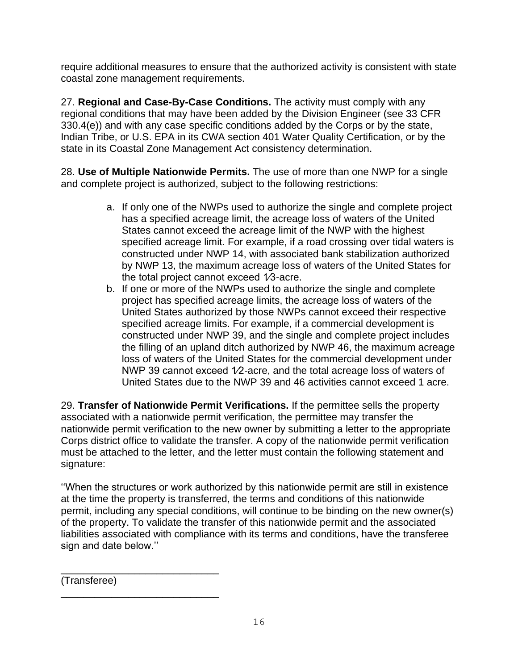require additional measures to ensure that the authorized activity is consistent with state coastal zone management requirements.

27. **Regional and Case-By-Case Conditions.** The activity must comply with any regional conditions that may have been added by the Division Engineer (see 33 CFR 330.4(e)) and with any case specific conditions added by the Corps or by the state, Indian Tribe, or U.S. EPA in its CWA section 401 Water Quality Certification, or by the state in its Coastal Zone Management Act consistency determination.

28. **Use of Multiple Nationwide Permits.** The use of more than one NWP for a single and complete project is authorized, subject to the following restrictions:

- a. If only one of the NWPs used to authorize the single and complete project has a specified acreage limit, the acreage loss of waters of the United States cannot exceed the acreage limit of the NWP with the highest specified acreage limit. For example, if a road crossing over tidal waters is constructed under NWP 14, with associated bank stabilization authorized by NWP 13, the maximum acreage loss of waters of the United States for the total project cannot exceed  $1/3$ -acre.
- b. If one or more of the NWPs used to authorize the single and complete project has specified acreage limits, the acreage loss of waters of the United States authorized by those NWPs cannot exceed their respective specified acreage limits. For example, if a commercial development is constructed under NWP 39, and the single and complete project includes the filling of an upland ditch authorized by NWP 46, the maximum acreage loss of waters of the United States for the commercial development under NWP 39 cannot exceed 1/2-acre, and the total acreage loss of waters of United States due to the NWP 39 and 46 activities cannot exceed 1 acre.

29. **Transfer of Nationwide Permit Verifications.** If the permittee sells the property associated with a nationwide permit verification, the permittee may transfer the nationwide permit verification to the new owner by submitting a letter to the appropriate Corps district office to validate the transfer. A copy of the nationwide permit verification must be attached to the letter, and the letter must contain the following statement and signature:

''When the structures or work authorized by this nationwide permit are still in existence at the time the property is transferred, the terms and conditions of this nationwide permit, including any special conditions, will continue to be binding on the new owner(s) of the property. To validate the transfer of this nationwide permit and the associated liabilities associated with compliance with its terms and conditions, have the transferee sign and date below.''

\_\_\_\_\_\_\_\_\_\_\_\_\_\_\_\_\_\_\_\_\_\_\_\_\_\_\_\_ (Transferee)

\_\_\_\_\_\_\_\_\_\_\_\_\_\_\_\_\_\_\_\_\_\_\_\_\_\_\_\_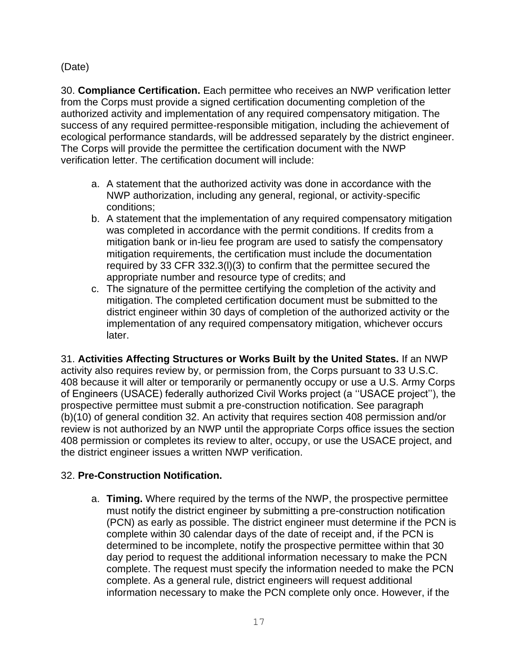# (Date)

30. **Compliance Certification.** Each permittee who receives an NWP verification letter from the Corps must provide a signed certification documenting completion of the authorized activity and implementation of any required compensatory mitigation. The success of any required permittee-responsible mitigation, including the achievement of ecological performance standards, will be addressed separately by the district engineer. The Corps will provide the permittee the certification document with the NWP verification letter. The certification document will include:

- a. A statement that the authorized activity was done in accordance with the NWP authorization, including any general, regional, or activity-specific conditions;
- b. A statement that the implementation of any required compensatory mitigation was completed in accordance with the permit conditions. If credits from a mitigation bank or in-lieu fee program are used to satisfy the compensatory mitigation requirements, the certification must include the documentation required by 33 CFR 332.3(l)(3) to confirm that the permittee secured the appropriate number and resource type of credits; and
- c. The signature of the permittee certifying the completion of the activity and mitigation. The completed certification document must be submitted to the district engineer within 30 days of completion of the authorized activity or the implementation of any required compensatory mitigation, whichever occurs later.

31. **Activities Affecting Structures or Works Built by the United States.** If an NWP activity also requires review by, or permission from, the Corps pursuant to 33 U.S.C. 408 because it will alter or temporarily or permanently occupy or use a U.S. Army Corps of Engineers (USACE) federally authorized Civil Works project (a ''USACE project''), the prospective permittee must submit a pre-construction notification. See paragraph (b)(10) of general condition 32. An activity that requires section 408 permission and/or review is not authorized by an NWP until the appropriate Corps office issues the section 408 permission or completes its review to alter, occupy, or use the USACE project, and the district engineer issues a written NWP verification.

## 32. **Pre-Construction Notification.**

a. **Timing.** Where required by the terms of the NWP, the prospective permittee must notify the district engineer by submitting a pre-construction notification (PCN) as early as possible. The district engineer must determine if the PCN is complete within 30 calendar days of the date of receipt and, if the PCN is determined to be incomplete, notify the prospective permittee within that 30 day period to request the additional information necessary to make the PCN complete. The request must specify the information needed to make the PCN complete. As a general rule, district engineers will request additional information necessary to make the PCN complete only once. However, if the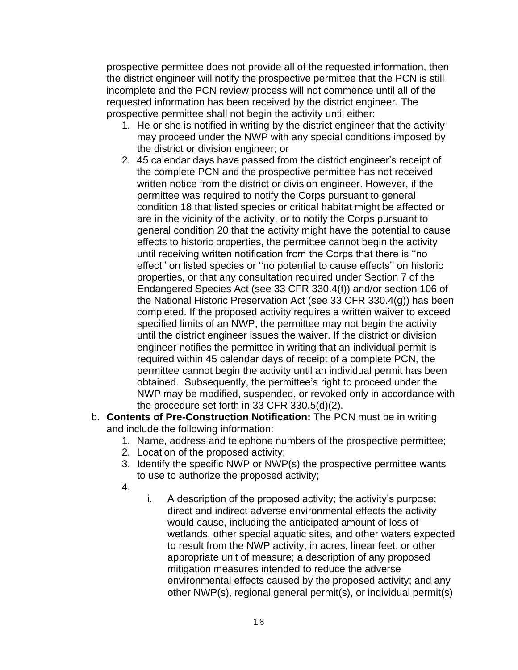prospective permittee does not provide all of the requested information, then the district engineer will notify the prospective permittee that the PCN is still incomplete and the PCN review process will not commence until all of the requested information has been received by the district engineer. The prospective permittee shall not begin the activity until either:

- 1. He or she is notified in writing by the district engineer that the activity may proceed under the NWP with any special conditions imposed by the district or division engineer; or
- 2. 45 calendar days have passed from the district engineer's receipt of the complete PCN and the prospective permittee has not received written notice from the district or division engineer. However, if the permittee was required to notify the Corps pursuant to general condition 18 that listed species or critical habitat might be affected or are in the vicinity of the activity, or to notify the Corps pursuant to general condition 20 that the activity might have the potential to cause effects to historic properties, the permittee cannot begin the activity until receiving written notification from the Corps that there is ''no effect'' on listed species or ''no potential to cause effects'' on historic properties, or that any consultation required under Section 7 of the Endangered Species Act (see 33 CFR 330.4(f)) and/or section 106 of the National Historic Preservation Act (see 33 CFR 330.4(g)) has been completed. If the proposed activity requires a written waiver to exceed specified limits of an NWP, the permittee may not begin the activity until the district engineer issues the waiver. If the district or division engineer notifies the permittee in writing that an individual permit is required within 45 calendar days of receipt of a complete PCN, the permittee cannot begin the activity until an individual permit has been obtained. Subsequently, the permittee's right to proceed under the NWP may be modified, suspended, or revoked only in accordance with the procedure set forth in 33 CFR 330.5(d)(2).
- b. **Contents of Pre-Construction Notification:** The PCN must be in writing and include the following information:
	- 1. Name, address and telephone numbers of the prospective permittee;
	- 2. Location of the proposed activity;
	- 3. Identify the specific NWP or NWP(s) the prospective permittee wants to use to authorize the proposed activity;
	- 4.
- i. A description of the proposed activity; the activity's purpose; direct and indirect adverse environmental effects the activity would cause, including the anticipated amount of loss of wetlands, other special aquatic sites, and other waters expected to result from the NWP activity, in acres, linear feet, or other appropriate unit of measure; a description of any proposed mitigation measures intended to reduce the adverse environmental effects caused by the proposed activity; and any other NWP(s), regional general permit(s), or individual permit(s)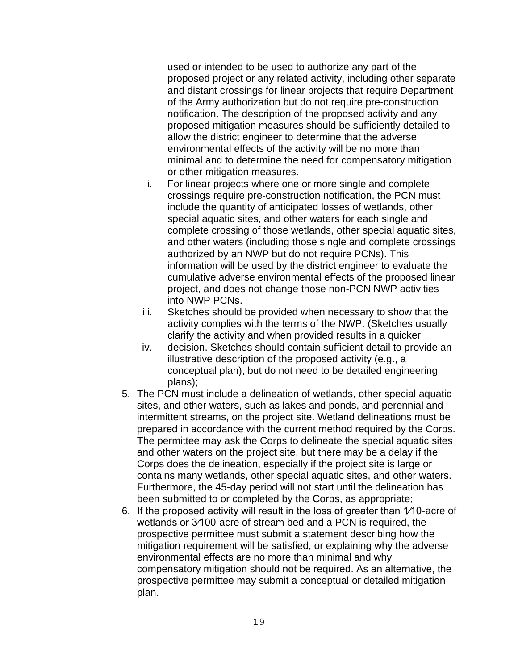used or intended to be used to authorize any part of the proposed project or any related activity, including other separate and distant crossings for linear projects that require Department of the Army authorization but do not require pre-construction notification. The description of the proposed activity and any proposed mitigation measures should be sufficiently detailed to allow the district engineer to determine that the adverse environmental effects of the activity will be no more than minimal and to determine the need for compensatory mitigation or other mitigation measures.

- ii. For linear projects where one or more single and complete crossings require pre-construction notification, the PCN must include the quantity of anticipated losses of wetlands, other special aquatic sites, and other waters for each single and complete crossing of those wetlands, other special aquatic sites, and other waters (including those single and complete crossings authorized by an NWP but do not require PCNs). This information will be used by the district engineer to evaluate the cumulative adverse environmental effects of the proposed linear project, and does not change those non-PCN NWP activities into NWP PCNs.
- iii. Sketches should be provided when necessary to show that the activity complies with the terms of the NWP. (Sketches usually clarify the activity and when provided results in a quicker
- iv. decision. Sketches should contain sufficient detail to provide an illustrative description of the proposed activity (e.g., a conceptual plan), but do not need to be detailed engineering plans);
- 5. The PCN must include a delineation of wetlands, other special aquatic sites, and other waters, such as lakes and ponds, and perennial and intermittent streams, on the project site. Wetland delineations must be prepared in accordance with the current method required by the Corps. The permittee may ask the Corps to delineate the special aquatic sites and other waters on the project site, but there may be a delay if the Corps does the delineation, especially if the project site is large or contains many wetlands, other special aquatic sites, and other waters. Furthermore, the 45-day period will not start until the delineation has been submitted to or completed by the Corps, as appropriate;
- 6. If the proposed activity will result in the loss of greater than 1⁄10-acre of wetlands or 3/100-acre of stream bed and a PCN is required, the prospective permittee must submit a statement describing how the mitigation requirement will be satisfied, or explaining why the adverse environmental effects are no more than minimal and why compensatory mitigation should not be required. As an alternative, the prospective permittee may submit a conceptual or detailed mitigation plan.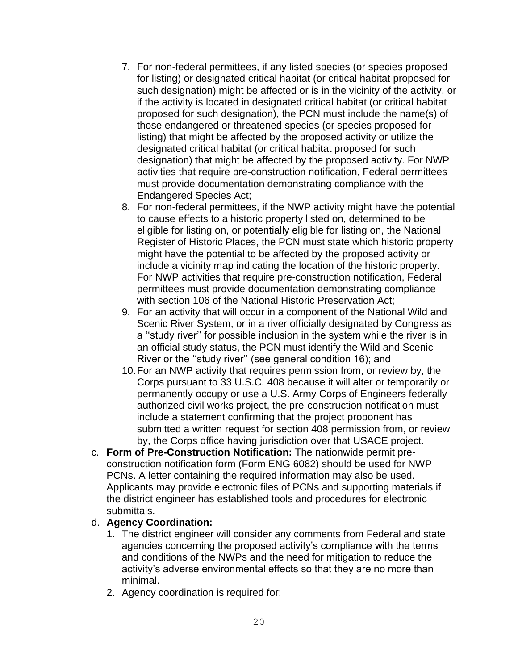- 7. For non-federal permittees, if any listed species (or species proposed for listing) or designated critical habitat (or critical habitat proposed for such designation) might be affected or is in the vicinity of the activity, or if the activity is located in designated critical habitat (or critical habitat proposed for such designation), the PCN must include the name(s) of those endangered or threatened species (or species proposed for listing) that might be affected by the proposed activity or utilize the designated critical habitat (or critical habitat proposed for such designation) that might be affected by the proposed activity. For NWP activities that require pre-construction notification, Federal permittees must provide documentation demonstrating compliance with the Endangered Species Act;
- 8. For non-federal permittees, if the NWP activity might have the potential to cause effects to a historic property listed on, determined to be eligible for listing on, or potentially eligible for listing on, the National Register of Historic Places, the PCN must state which historic property might have the potential to be affected by the proposed activity or include a vicinity map indicating the location of the historic property. For NWP activities that require pre-construction notification, Federal permittees must provide documentation demonstrating compliance with section 106 of the National Historic Preservation Act;
- 9. For an activity that will occur in a component of the National Wild and Scenic River System, or in a river officially designated by Congress as a ''study river'' for possible inclusion in the system while the river is in an official study status, the PCN must identify the Wild and Scenic River or the ''study river'' (see general condition 16); and
- 10.For an NWP activity that requires permission from, or review by, the Corps pursuant to 33 U.S.C. 408 because it will alter or temporarily or permanently occupy or use a U.S. Army Corps of Engineers federally authorized civil works project, the pre-construction notification must include a statement confirming that the project proponent has submitted a written request for section 408 permission from, or review by, the Corps office having jurisdiction over that USACE project.
- c. **Form of Pre-Construction Notification:** The nationwide permit preconstruction notification form (Form ENG 6082) should be used for NWP PCNs. A letter containing the required information may also be used. Applicants may provide electronic files of PCNs and supporting materials if the district engineer has established tools and procedures for electronic submittals.

#### d. **Agency Coordination:**

- 1. The district engineer will consider any comments from Federal and state agencies concerning the proposed activity's compliance with the terms and conditions of the NWPs and the need for mitigation to reduce the activity's adverse environmental effects so that they are no more than minimal.
- 2. Agency coordination is required for: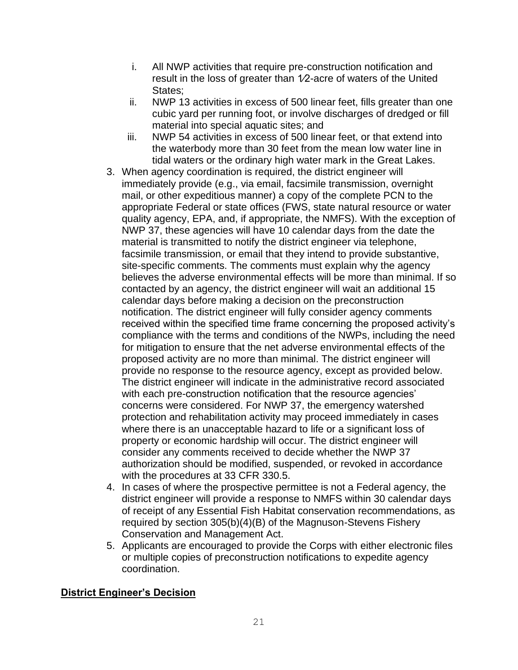- i. All NWP activities that require pre-construction notification and result in the loss of greater than 1⁄2-acre of waters of the United States:
- ii. NWP 13 activities in excess of 500 linear feet, fills greater than one cubic yard per running foot, or involve discharges of dredged or fill material into special aquatic sites; and
- iii. NWP 54 activities in excess of 500 linear feet, or that extend into the waterbody more than 30 feet from the mean low water line in tidal waters or the ordinary high water mark in the Great Lakes.
- 3. When agency coordination is required, the district engineer will immediately provide (e.g., via email, facsimile transmission, overnight mail, or other expeditious manner) a copy of the complete PCN to the appropriate Federal or state offices (FWS, state natural resource or water quality agency, EPA, and, if appropriate, the NMFS). With the exception of NWP 37, these agencies will have 10 calendar days from the date the material is transmitted to notify the district engineer via telephone, facsimile transmission, or email that they intend to provide substantive, site-specific comments. The comments must explain why the agency believes the adverse environmental effects will be more than minimal. If so contacted by an agency, the district engineer will wait an additional 15 calendar days before making a decision on the preconstruction notification. The district engineer will fully consider agency comments received within the specified time frame concerning the proposed activity's compliance with the terms and conditions of the NWPs, including the need for mitigation to ensure that the net adverse environmental effects of the proposed activity are no more than minimal. The district engineer will provide no response to the resource agency, except as provided below. The district engineer will indicate in the administrative record associated with each pre-construction notification that the resource agencies' concerns were considered. For NWP 37, the emergency watershed protection and rehabilitation activity may proceed immediately in cases where there is an unacceptable hazard to life or a significant loss of property or economic hardship will occur. The district engineer will consider any comments received to decide whether the NWP 37 authorization should be modified, suspended, or revoked in accordance with the procedures at 33 CFR 330.5.
- 4. In cases of where the prospective permittee is not a Federal agency, the district engineer will provide a response to NMFS within 30 calendar days of receipt of any Essential Fish Habitat conservation recommendations, as required by section 305(b)(4)(B) of the Magnuson-Stevens Fishery Conservation and Management Act.
- 5. Applicants are encouraged to provide the Corps with either electronic files or multiple copies of preconstruction notifications to expedite agency coordination.

## **District Engineer's Decision**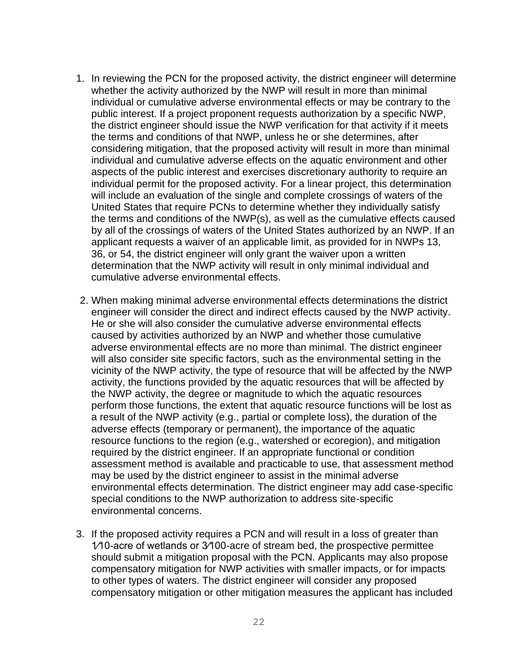- 1. In reviewing the PCN for the proposed activity, the district engineer will determine whether the activity authorized by the NWP will result in more than minimal individual or cumulative adverse environmental effects or may be contrary to the public interest. If a project proponent requests authorization by a specific NWP, the district engineer should issue the NWP verification for that activity if it meets the terms and conditions of that NWP, unless he or she determines, after considering mitigation, that the proposed activity will result in more than minimal individual and cumulative adverse effects on the aquatic environment and other aspects of the public interest and exercises discretionary authority to require an individual permit for the proposed activity. For a linear project, this determination will include an evaluation of the single and complete crossings of waters of the United States that require PCNs to determine whether they individually satisfy the terms and conditions of the NWP(s), as well as the cumulative effects caused by all of the crossings of waters of the United States authorized by an NWP. If an applicant requests a waiver of an applicable limit, as provided for in NWPs 13, 36, or 54, the district engineer will only grant the waiver upon a written determination that the NWP activity will result in only minimal individual and cumulative adverse environmental effects.
- 2. When making minimal adverse environmental effects determinations the district engineer will consider the direct and indirect effects caused by the NWP activity. He or she will also consider the cumulative adverse environmental effects caused by activities authorized by an NWP and whether those cumulative adverse environmental effects are no more than minimal. The district engineer will also consider site specific factors, such as the environmental setting in the vicinity of the NWP activity, the type of resource that will be affected by the NWP activity, the functions provided by the aquatic resources that will be affected by the NWP activity, the degree or magnitude to which the aquatic resources perform those functions, the extent that aquatic resource functions will be lost as a result of the NWP activity (e.g., partial or complete loss), the duration of the adverse effects (temporary or permanent), the importance of the aquatic resource functions to the region (e.g., watershed or ecoregion), and mitigation required by the district engineer. If an appropriate functional or condition assessment method is available and practicable to use, that assessment method may be used by the district engineer to assist in the minimal adverse environmental effects determination. The district engineer may add case-specific special conditions to the NWP authorization to address site-specific environmental concerns.
- 3. If the proposed activity requires a PCN and will result in a loss of greater than 1⁄10-acre of wetlands or 3⁄100-acre of stream bed, the prospective permittee should submit a mitigation proposal with the PCN. Applicants may also propose compensatory mitigation for NWP activities with smaller impacts, or for impacts to other types of waters. The district engineer will consider any proposed compensatory mitigation or other mitigation measures the applicant has included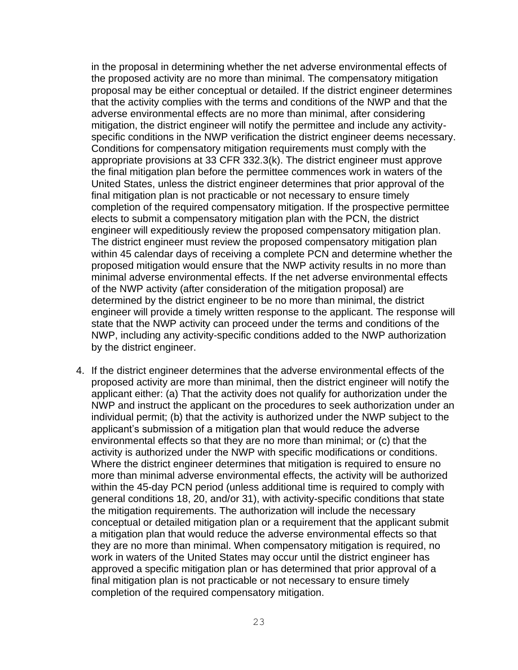in the proposal in determining whether the net adverse environmental effects of the proposed activity are no more than minimal. The compensatory mitigation proposal may be either conceptual or detailed. If the district engineer determines that the activity complies with the terms and conditions of the NWP and that the adverse environmental effects are no more than minimal, after considering mitigation, the district engineer will notify the permittee and include any activityspecific conditions in the NWP verification the district engineer deems necessary. Conditions for compensatory mitigation requirements must comply with the appropriate provisions at 33 CFR 332.3(k). The district engineer must approve the final mitigation plan before the permittee commences work in waters of the United States, unless the district engineer determines that prior approval of the final mitigation plan is not practicable or not necessary to ensure timely completion of the required compensatory mitigation. If the prospective permittee elects to submit a compensatory mitigation plan with the PCN, the district engineer will expeditiously review the proposed compensatory mitigation plan. The district engineer must review the proposed compensatory mitigation plan within 45 calendar days of receiving a complete PCN and determine whether the proposed mitigation would ensure that the NWP activity results in no more than minimal adverse environmental effects. If the net adverse environmental effects of the NWP activity (after consideration of the mitigation proposal) are determined by the district engineer to be no more than minimal, the district engineer will provide a timely written response to the applicant. The response will state that the NWP activity can proceed under the terms and conditions of the NWP, including any activity-specific conditions added to the NWP authorization by the district engineer.

4. If the district engineer determines that the adverse environmental effects of the proposed activity are more than minimal, then the district engineer will notify the applicant either: (a) That the activity does not qualify for authorization under the NWP and instruct the applicant on the procedures to seek authorization under an individual permit; (b) that the activity is authorized under the NWP subject to the applicant's submission of a mitigation plan that would reduce the adverse environmental effects so that they are no more than minimal; or (c) that the activity is authorized under the NWP with specific modifications or conditions. Where the district engineer determines that mitigation is required to ensure no more than minimal adverse environmental effects, the activity will be authorized within the 45-day PCN period (unless additional time is required to comply with general conditions 18, 20, and/or 31), with activity-specific conditions that state the mitigation requirements. The authorization will include the necessary conceptual or detailed mitigation plan or a requirement that the applicant submit a mitigation plan that would reduce the adverse environmental effects so that they are no more than minimal. When compensatory mitigation is required, no work in waters of the United States may occur until the district engineer has approved a specific mitigation plan or has determined that prior approval of a final mitigation plan is not practicable or not necessary to ensure timely completion of the required compensatory mitigation.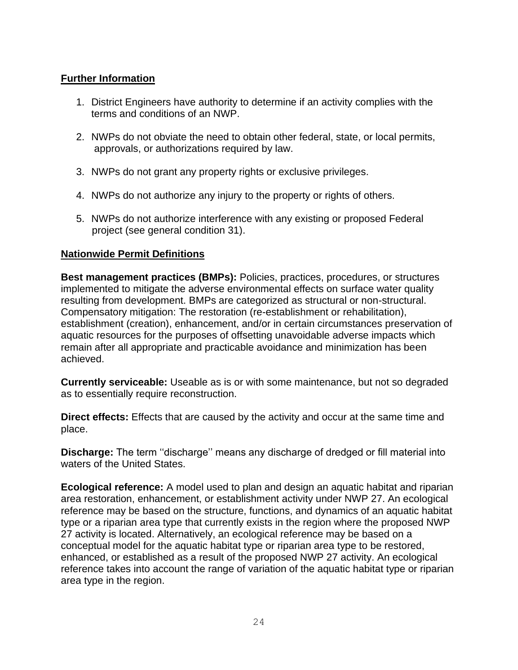## **Further Information**

- 1. District Engineers have authority to determine if an activity complies with the terms and conditions of an NWP.
- 2. NWPs do not obviate the need to obtain other federal, state, or local permits, approvals, or authorizations required by law.
- 3. NWPs do not grant any property rights or exclusive privileges.
- 4. NWPs do not authorize any injury to the property or rights of others.
- 5. NWPs do not authorize interference with any existing or proposed Federal project (see general condition 31).

#### **Nationwide Permit Definitions**

**Best management practices (BMPs):** Policies, practices, procedures, or structures implemented to mitigate the adverse environmental effects on surface water quality resulting from development. BMPs are categorized as structural or non-structural. Compensatory mitigation: The restoration (re-establishment or rehabilitation), establishment (creation), enhancement, and/or in certain circumstances preservation of aquatic resources for the purposes of offsetting unavoidable adverse impacts which remain after all appropriate and practicable avoidance and minimization has been achieved.

**Currently serviceable:** Useable as is or with some maintenance, but not so degraded as to essentially require reconstruction.

**Direct effects:** Effects that are caused by the activity and occur at the same time and place.

**Discharge:** The term ''discharge'' means any discharge of dredged or fill material into waters of the United States.

**Ecological reference:** A model used to plan and design an aquatic habitat and riparian area restoration, enhancement, or establishment activity under NWP 27. An ecological reference may be based on the structure, functions, and dynamics of an aquatic habitat type or a riparian area type that currently exists in the region where the proposed NWP 27 activity is located. Alternatively, an ecological reference may be based on a conceptual model for the aquatic habitat type or riparian area type to be restored, enhanced, or established as a result of the proposed NWP 27 activity. An ecological reference takes into account the range of variation of the aquatic habitat type or riparian area type in the region.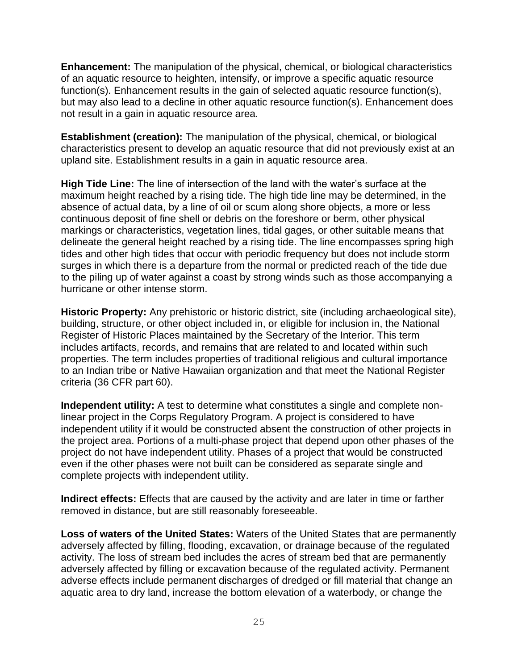**Enhancement:** The manipulation of the physical, chemical, or biological characteristics of an aquatic resource to heighten, intensify, or improve a specific aquatic resource function(s). Enhancement results in the gain of selected aquatic resource function(s), but may also lead to a decline in other aquatic resource function(s). Enhancement does not result in a gain in aquatic resource area.

**Establishment (creation):** The manipulation of the physical, chemical, or biological characteristics present to develop an aquatic resource that did not previously exist at an upland site. Establishment results in a gain in aquatic resource area.

**High Tide Line:** The line of intersection of the land with the water's surface at the maximum height reached by a rising tide. The high tide line may be determined, in the absence of actual data, by a line of oil or scum along shore objects, a more or less continuous deposit of fine shell or debris on the foreshore or berm, other physical markings or characteristics, vegetation lines, tidal gages, or other suitable means that delineate the general height reached by a rising tide. The line encompasses spring high tides and other high tides that occur with periodic frequency but does not include storm surges in which there is a departure from the normal or predicted reach of the tide due to the piling up of water against a coast by strong winds such as those accompanying a hurricane or other intense storm.

**Historic Property:** Any prehistoric or historic district, site (including archaeological site), building, structure, or other object included in, or eligible for inclusion in, the National Register of Historic Places maintained by the Secretary of the Interior. This term includes artifacts, records, and remains that are related to and located within such properties. The term includes properties of traditional religious and cultural importance to an Indian tribe or Native Hawaiian organization and that meet the National Register criteria (36 CFR part 60).

**Independent utility:** A test to determine what constitutes a single and complete nonlinear project in the Corps Regulatory Program. A project is considered to have independent utility if it would be constructed absent the construction of other projects in the project area. Portions of a multi-phase project that depend upon other phases of the project do not have independent utility. Phases of a project that would be constructed even if the other phases were not built can be considered as separate single and complete projects with independent utility.

**Indirect effects:** Effects that are caused by the activity and are later in time or farther removed in distance, but are still reasonably foreseeable.

**Loss of waters of the United States:** Waters of the United States that are permanently adversely affected by filling, flooding, excavation, or drainage because of the regulated activity. The loss of stream bed includes the acres of stream bed that are permanently adversely affected by filling or excavation because of the regulated activity. Permanent adverse effects include permanent discharges of dredged or fill material that change an aquatic area to dry land, increase the bottom elevation of a waterbody, or change the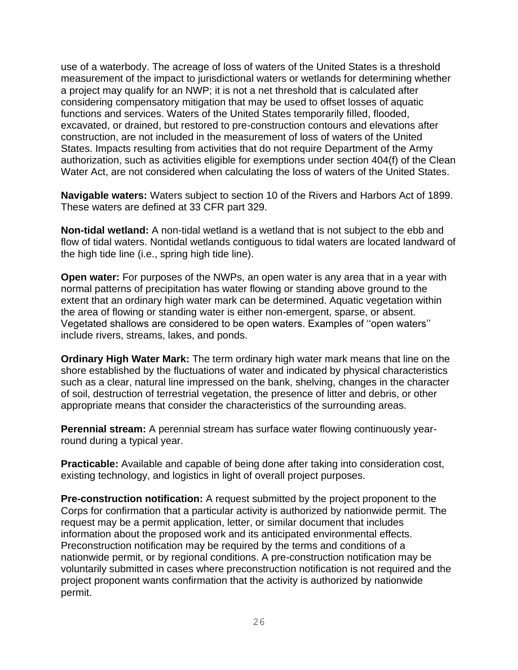use of a waterbody. The acreage of loss of waters of the United States is a threshold measurement of the impact to jurisdictional waters or wetlands for determining whether a project may qualify for an NWP; it is not a net threshold that is calculated after considering compensatory mitigation that may be used to offset losses of aquatic functions and services. Waters of the United States temporarily filled, flooded, excavated, or drained, but restored to pre-construction contours and elevations after construction, are not included in the measurement of loss of waters of the United States. Impacts resulting from activities that do not require Department of the Army authorization, such as activities eligible for exemptions under section 404(f) of the Clean Water Act, are not considered when calculating the loss of waters of the United States.

**Navigable waters:** Waters subject to section 10 of the Rivers and Harbors Act of 1899. These waters are defined at 33 CFR part 329.

**Non-tidal wetland:** A non-tidal wetland is a wetland that is not subject to the ebb and flow of tidal waters. Nontidal wetlands contiguous to tidal waters are located landward of the high tide line (i.e., spring high tide line).

**Open water:** For purposes of the NWPs, an open water is any area that in a year with normal patterns of precipitation has water flowing or standing above ground to the extent that an ordinary high water mark can be determined. Aquatic vegetation within the area of flowing or standing water is either non-emergent, sparse, or absent. Vegetated shallows are considered to be open waters. Examples of ''open waters'' include rivers, streams, lakes, and ponds.

**Ordinary High Water Mark:** The term ordinary high water mark means that line on the shore established by the fluctuations of water and indicated by physical characteristics such as a clear, natural line impressed on the bank, shelving, changes in the character of soil, destruction of terrestrial vegetation, the presence of litter and debris, or other appropriate means that consider the characteristics of the surrounding areas.

**Perennial stream:** A perennial stream has surface water flowing continuously yearround during a typical year.

**Practicable:** Available and capable of being done after taking into consideration cost, existing technology, and logistics in light of overall project purposes.

**Pre-construction notification:** A request submitted by the project proponent to the Corps for confirmation that a particular activity is authorized by nationwide permit. The request may be a permit application, letter, or similar document that includes information about the proposed work and its anticipated environmental effects. Preconstruction notification may be required by the terms and conditions of a nationwide permit, or by regional conditions. A pre-construction notification may be voluntarily submitted in cases where preconstruction notification is not required and the project proponent wants confirmation that the activity is authorized by nationwide permit.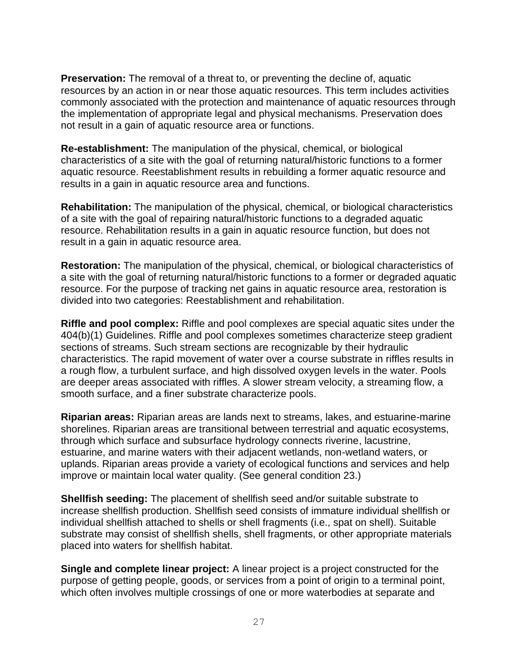**Preservation:** The removal of a threat to, or preventing the decline of, aquatic resources by an action in or near those aquatic resources. This term includes activities commonly associated with the protection and maintenance of aquatic resources through the implementation of appropriate legal and physical mechanisms. Preservation does not result in a gain of aquatic resource area or functions.

**Re-establishment:** The manipulation of the physical, chemical, or biological characteristics of a site with the goal of returning natural/historic functions to a former aquatic resource. Reestablishment results in rebuilding a former aquatic resource and results in a gain in aquatic resource area and functions.

**Rehabilitation:** The manipulation of the physical, chemical, or biological characteristics of a site with the goal of repairing natural/historic functions to a degraded aquatic resource. Rehabilitation results in a gain in aquatic resource function, but does not result in a gain in aquatic resource area.

**Restoration:** The manipulation of the physical, chemical, or biological characteristics of a site with the goal of returning natural/historic functions to a former or degraded aquatic resource. For the purpose of tracking net gains in aquatic resource area, restoration is divided into two categories: Reestablishment and rehabilitation.

**Riffle and pool complex:** Riffle and pool complexes are special aquatic sites under the 404(b)(1) Guidelines. Riffle and pool complexes sometimes characterize steep gradient sections of streams. Such stream sections are recognizable by their hydraulic characteristics. The rapid movement of water over a course substrate in riffles results in a rough flow, a turbulent surface, and high dissolved oxygen levels in the water. Pools are deeper areas associated with riffles. A slower stream velocity, a streaming flow, a smooth surface, and a finer substrate characterize pools.

**Riparian areas:** Riparian areas are lands next to streams, lakes, and estuarine-marine shorelines. Riparian areas are transitional between terrestrial and aquatic ecosystems, through which surface and subsurface hydrology connects riverine, lacustrine, estuarine, and marine waters with their adjacent wetlands, non-wetland waters, or uplands. Riparian areas provide a variety of ecological functions and services and help improve or maintain local water quality. (See general condition 23.)

**Shellfish seeding:** The placement of shellfish seed and/or suitable substrate to increase shellfish production. Shellfish seed consists of immature individual shellfish or individual shellfish attached to shells or shell fragments (i.e., spat on shell). Suitable substrate may consist of shellfish shells, shell fragments, or other appropriate materials placed into waters for shellfish habitat.

**Single and complete linear project:** A linear project is a project constructed for the purpose of getting people, goods, or services from a point of origin to a terminal point, which often involves multiple crossings of one or more waterbodies at separate and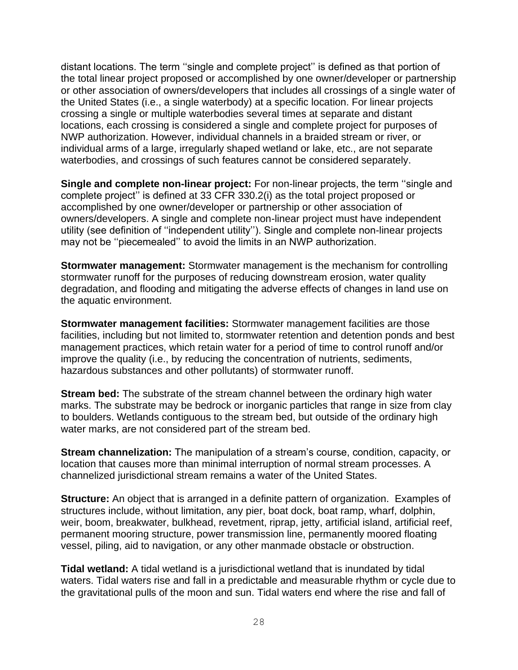distant locations. The term ''single and complete project'' is defined as that portion of the total linear project proposed or accomplished by one owner/developer or partnership or other association of owners/developers that includes all crossings of a single water of the United States (i.e., a single waterbody) at a specific location. For linear projects crossing a single or multiple waterbodies several times at separate and distant locations, each crossing is considered a single and complete project for purposes of NWP authorization. However, individual channels in a braided stream or river, or individual arms of a large, irregularly shaped wetland or lake, etc., are not separate waterbodies, and crossings of such features cannot be considered separately.

**Single and complete non-linear project:** For non-linear projects, the term ''single and complete project'' is defined at 33 CFR 330.2(i) as the total project proposed or accomplished by one owner/developer or partnership or other association of owners/developers. A single and complete non-linear project must have independent utility (see definition of ''independent utility''). Single and complete non-linear projects may not be ''piecemealed'' to avoid the limits in an NWP authorization.

**Stormwater management:** Stormwater management is the mechanism for controlling stormwater runoff for the purposes of reducing downstream erosion, water quality degradation, and flooding and mitigating the adverse effects of changes in land use on the aquatic environment.

**Stormwater management facilities:** Stormwater management facilities are those facilities, including but not limited to, stormwater retention and detention ponds and best management practices, which retain water for a period of time to control runoff and/or improve the quality (i.e., by reducing the concentration of nutrients, sediments, hazardous substances and other pollutants) of stormwater runoff.

**Stream bed:** The substrate of the stream channel between the ordinary high water marks. The substrate may be bedrock or inorganic particles that range in size from clay to boulders. Wetlands contiguous to the stream bed, but outside of the ordinary high water marks, are not considered part of the stream bed.

**Stream channelization:** The manipulation of a stream's course, condition, capacity, or location that causes more than minimal interruption of normal stream processes. A channelized jurisdictional stream remains a water of the United States.

**Structure:** An object that is arranged in a definite pattern of organization. Examples of structures include, without limitation, any pier, boat dock, boat ramp, wharf, dolphin, weir, boom, breakwater, bulkhead, revetment, riprap, jetty, artificial island, artificial reef, permanent mooring structure, power transmission line, permanently moored floating vessel, piling, aid to navigation, or any other manmade obstacle or obstruction.

**Tidal wetland:** A tidal wetland is a jurisdictional wetland that is inundated by tidal waters. Tidal waters rise and fall in a predictable and measurable rhythm or cycle due to the gravitational pulls of the moon and sun. Tidal waters end where the rise and fall of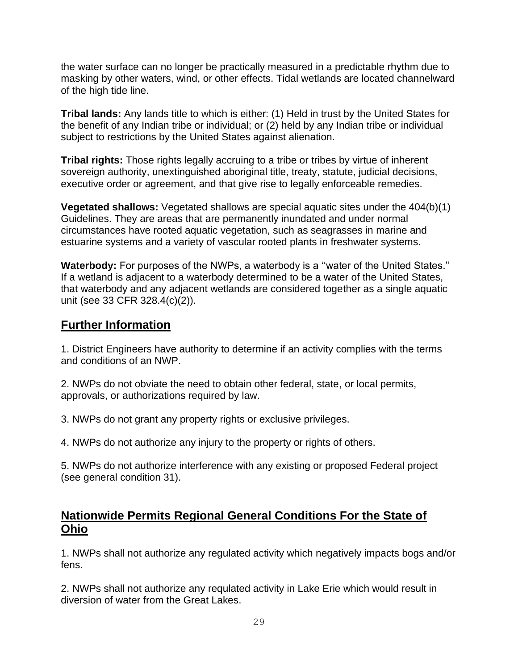the water surface can no longer be practically measured in a predictable rhythm due to masking by other waters, wind, or other effects. Tidal wetlands are located channelward of the high tide line.

**Tribal lands:** Any lands title to which is either: (1) Held in trust by the United States for the benefit of any Indian tribe or individual; or (2) held by any Indian tribe or individual subject to restrictions by the United States against alienation.

**Tribal rights:** Those rights legally accruing to a tribe or tribes by virtue of inherent sovereign authority, unextinguished aboriginal title, treaty, statute, judicial decisions, executive order or agreement, and that give rise to legally enforceable remedies.

**Vegetated shallows:** Vegetated shallows are special aquatic sites under the 404(b)(1) Guidelines. They are areas that are permanently inundated and under normal circumstances have rooted aquatic vegetation, such as seagrasses in marine and estuarine systems and a variety of vascular rooted plants in freshwater systems.

**Waterbody:** For purposes of the NWPs, a waterbody is a ''water of the United States.'' If a wetland is adjacent to a waterbody determined to be a water of the United States, that waterbody and any adjacent wetlands are considered together as a single aquatic unit (see 33 CFR 328.4(c)(2)).

# **Further Information**

1. District Engineers have authority to determine if an activity complies with the terms and conditions of an NWP.

2. NWPs do not obviate the need to obtain other federal, state, or local permits, approvals, or authorizations required by law.

3. NWPs do not grant any property rights or exclusive privileges.

4. NWPs do not authorize any injury to the property or rights of others.

5. NWPs do not authorize interference with any existing or proposed Federal project (see general condition 31).

# **Nationwide Permits Regional General Conditions For the State of Ohio**

1. NWPs shall not authorize any regulated activity which negatively impacts bogs and/or fens.

2. NWPs shall not authorize any requlated activity in Lake Erie which would result in diversion of water from the Great Lakes.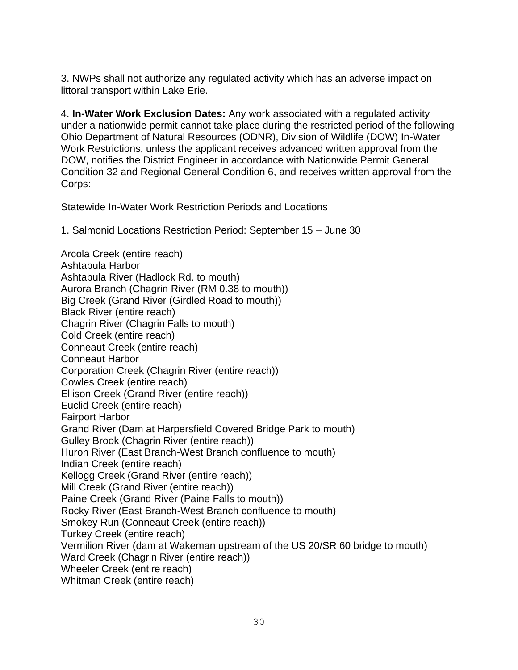3. NWPs shall not authorize any regulated activity which has an adverse impact on littoral transport within Lake Erie.

4. **In-Water Work Exclusion Dates:** Any work associated with a regulated activity under a nationwide permit cannot take place during the restricted period of the following Ohio Department of Natural Resources (ODNR), Division of Wildlife (DOW) In-Water Work Restrictions, unless the applicant receives advanced written approval from the DOW, notifies the District Engineer in accordance with Nationwide Permit General Condition 32 and Regional General Condition 6, and receives written approval from the Corps:

Statewide In-Water Work Restriction Periods and Locations

1. Salmonid Locations Restriction Period: September 15 – June 30

Arcola Creek (entire reach) Ashtabula Harbor Ashtabula River (Hadlock Rd. to mouth) Aurora Branch (Chagrin River (RM 0.38 to mouth)) Big Creek (Grand River (Girdled Road to mouth)) Black River (entire reach) Chagrin River (Chagrin Falls to mouth) Cold Creek (entire reach) Conneaut Creek (entire reach) Conneaut Harbor Corporation Creek (Chagrin River (entire reach)) Cowles Creek (entire reach) Ellison Creek (Grand River (entire reach)) Euclid Creek (entire reach) Fairport Harbor Grand River (Dam at Harpersfield Covered Bridge Park to mouth) Gulley Brook (Chagrin River (entire reach)) Huron River (East Branch-West Branch confluence to mouth) Indian Creek (entire reach) Kellogg Creek (Grand River (entire reach)) Mill Creek (Grand River (entire reach)) Paine Creek (Grand River (Paine Falls to mouth)) Rocky River (East Branch-West Branch confluence to mouth) Smokey Run (Conneaut Creek (entire reach)) Turkey Creek (entire reach) Vermilion River (dam at Wakeman upstream of the US 20/SR 60 bridge to mouth) Ward Creek (Chagrin River (entire reach)) Wheeler Creek (entire reach) Whitman Creek (entire reach)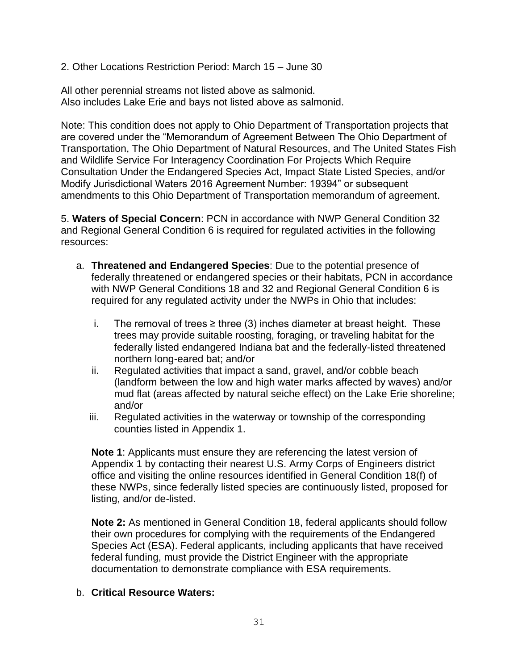2. Other Locations Restriction Period: March 15 – June 30

All other perennial streams not listed above as salmonid. Also includes Lake Erie and bays not listed above as salmonid.

Note: This condition does not apply to Ohio Department of Transportation projects that are covered under the "Memorandum of Agreement Between The Ohio Department of Transportation, The Ohio Department of Natural Resources, and The United States Fish and Wildlife Service For Interagency Coordination For Projects Which Require Consultation Under the Endangered Species Act, Impact State Listed Species, and/or Modify Jurisdictional Waters 2016 Agreement Number: 19394" or subsequent amendments to this Ohio Department of Transportation memorandum of agreement.

5. **Waters of Special Concern**: PCN in accordance with NWP General Condition 32 and Regional General Condition 6 is required for regulated activities in the following resources:

- a. **Threatened and Endangered Species**: Due to the potential presence of federally threatened or endangered species or their habitats, PCN in accordance with NWP General Conditions 18 and 32 and Regional General Condition 6 is required for any regulated activity under the NWPs in Ohio that includes:
	- i. The removal of trees ≥ three (3) inches diameter at breast height. These trees may provide suitable roosting, foraging, or traveling habitat for the federally listed endangered Indiana bat and the federally-listed threatened northern long-eared bat; and/or
	- ii. Regulated activities that impact a sand, gravel, and/or cobble beach (landform between the low and high water marks affected by waves) and/or mud flat (areas affected by natural seiche effect) on the Lake Erie shoreline; and/or
	- iii. Regulated activities in the waterway or township of the corresponding counties listed in Appendix 1.

**Note 1**: Applicants must ensure they are referencing the latest version of Appendix 1 by contacting their nearest U.S. Army Corps of Engineers district office and visiting the online resources identified in General Condition 18(f) of these NWPs, since federally listed species are continuously listed, proposed for listing, and/or de-listed.

**Note 2:** As mentioned in General Condition 18, federal applicants should follow their own procedures for complying with the requirements of the Endangered Species Act (ESA). Federal applicants, including applicants that have received federal funding, must provide the District Engineer with the appropriate documentation to demonstrate compliance with ESA requirements.

#### b. **Critical Resource Waters:**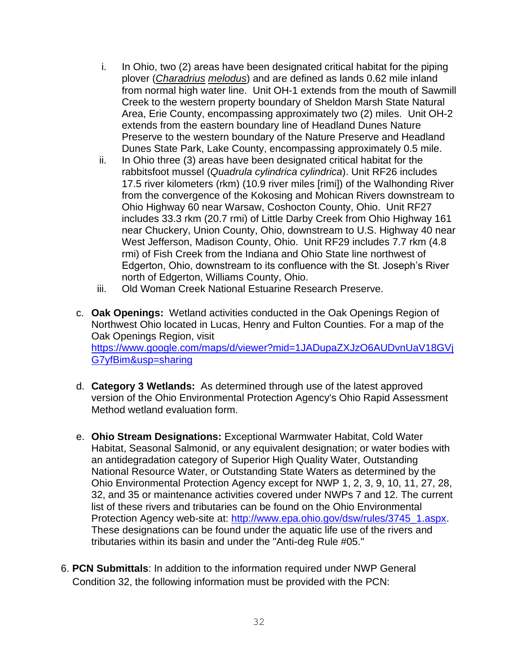- i. In Ohio, two (2) areas have been designated critical habitat for the piping plover (*Charadrius melodus*) and are defined as lands 0.62 mile inland from normal high water line. Unit OH-1 extends from the mouth of Sawmill Creek to the western property boundary of Sheldon Marsh State Natural Area, Erie County, encompassing approximately two (2) miles. Unit OH-2 extends from the eastern boundary line of Headland Dunes Nature Preserve to the western boundary of the Nature Preserve and Headland Dunes State Park, Lake County, encompassing approximately 0.5 mile.
- ii. In Ohio three (3) areas have been designated critical habitat for the rabbitsfoot mussel (*Quadrula cylindrica cylindrica*). Unit RF26 includes 17.5 river kilometers (rkm) (10.9 river miles [rimi]) of the Walhonding River from the convergence of the Kokosing and Mohican Rivers downstream to Ohio Highway 60 near Warsaw, Coshocton County, Ohio. Unit RF27 includes 33.3 rkm (20.7 rmi) of Little Darby Creek from Ohio Highway 161 near Chuckery, Union County, Ohio, downstream to U.S. Highway 40 near West Jefferson, Madison County, Ohio. Unit RF29 includes 7.7 rkm (4.8 rmi) of Fish Creek from the Indiana and Ohio State line northwest of Edgerton, Ohio, downstream to its confluence with the St. Joseph's River north of Edgerton, Williams County, Ohio.
- iii. Old Woman Creek National Estuarine Research Preserve.
- c. **Oak Openings:** Wetland activities conducted in the Oak Openings Region of Northwest Ohio located in Lucas, Henry and Fulton Counties. For a map of the Oak Openings Region, visit [https://www.google.com/maps/d/viewer?mid=1JADupaZXJzO6AUDvnUaV18GVj](https://www.google.com/maps/d/viewer?mid=1JADupaZXJzO6AUDvnUaV18GVjG7yfBim&usp=sharing) [G7yfBim&usp=sharing](https://www.google.com/maps/d/viewer?mid=1JADupaZXJzO6AUDvnUaV18GVjG7yfBim&usp=sharing)
- d. **Category 3 Wetlands:** As determined through use of the latest approved version of the Ohio Environmental Protection Agency's Ohio Rapid Assessment Method wetland evaluation form.
- e. **Ohio Stream Designations:** Exceptional Warmwater Habitat, Cold Water Habitat, Seasonal Salmonid, or any equivalent designation; or water bodies with an antidegradation category of Superior High Quality Water, Outstanding National Resource Water, or Outstanding State Waters as determined by the Ohio Environmental Protection Agency except for NWP 1, 2, 3, 9, 10, 11, 27, 28, 32, and 35 or maintenance activities covered under NWPs 7 and 12. The current list of these rivers and tributaries can be found on the Ohio Environmental Protection Agency web-site at: [http://www.epa.ohio.gov/dsw/rules/3745\\_1.aspx.](http://www.epa.ohio.gov/dsw/rules/3745_1.aspx) These designations can be found under the aquatic life use of the rivers and tributaries within its basin and under the "Anti-deg Rule #05."
- 6. **PCN Submittals**: In addition to the information required under NWP General Condition 32, the following information must be provided with the PCN: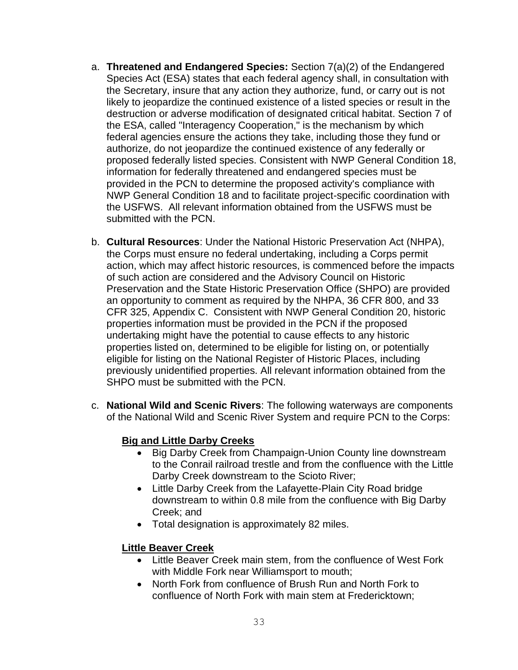- a. **Threatened and Endangered Species:** Section 7(a)(2) of the Endangered Species Act (ESA) states that each federal agency shall, in consultation with the Secretary, insure that any action they authorize, fund, or carry out is not likely to jeopardize the continued existence of a listed species or result in the destruction or adverse modification of designated critical habitat. Section 7 of the ESA, called "Interagency Cooperation," is the mechanism by which federal agencies ensure the actions they take, including those they fund or authorize, do not jeopardize the continued existence of any federally or proposed federally listed species. Consistent with NWP General Condition 18, information for federally threatened and endangered species must be provided in the PCN to determine the proposed activity's compliance with NWP General Condition 18 and to facilitate project-specific coordination with the USFWS. All relevant information obtained from the USFWS must be submitted with the PCN.
- b. **Cultural Resources**: Under the National Historic Preservation Act (NHPA), the Corps must ensure no federal undertaking, including a Corps permit action, which may affect historic resources, is commenced before the impacts of such action are considered and the Advisory Council on Historic Preservation and the State Historic Preservation Office (SHPO) are provided an opportunity to comment as required by the NHPA, 36 CFR 800, and 33 CFR 325, Appendix C. Consistent with NWP General Condition 20, historic properties information must be provided in the PCN if the proposed undertaking might have the potential to cause effects to any historic properties listed on, determined to be eligible for listing on, or potentially eligible for listing on the National Register of Historic Places, including previously unidentified properties. All relevant information obtained from the SHPO must be submitted with the PCN.
- c. **National Wild and Scenic Rivers**: The following waterways are components of the National Wild and Scenic River System and require PCN to the Corps:

#### **Big and Little Darby Creeks**

- Big Darby Creek from Champaign-Union County line downstream to the Conrail railroad trestle and from the confluence with the Little Darby Creek downstream to the Scioto River;
- Little Darby Creek from the Lafayette-Plain City Road bridge downstream to within 0.8 mile from the confluence with Big Darby Creek; and
- Total designation is approximately 82 miles.

#### **Little Beaver Creek**

- Little Beaver Creek main stem, from the confluence of West Fork with Middle Fork near Williamsport to mouth;
- North Fork from confluence of Brush Run and North Fork to confluence of North Fork with main stem at Fredericktown;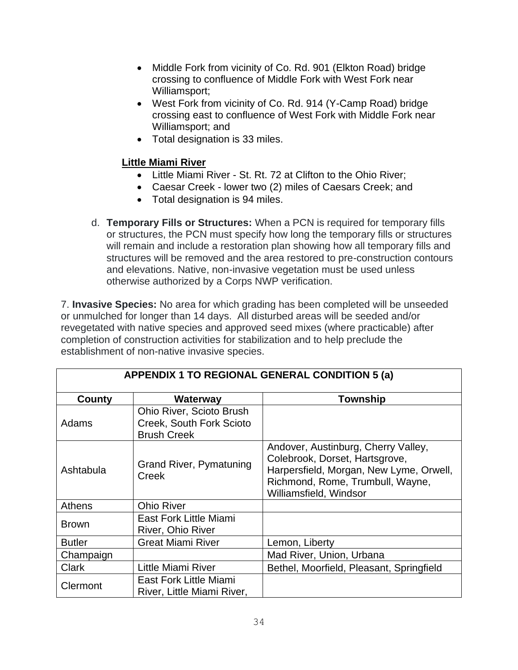- Middle Fork from vicinity of Co. Rd. 901 (Elkton Road) bridge crossing to confluence of Middle Fork with West Fork near Williamsport;
- West Fork from vicinity of Co. Rd. 914 (Y-Camp Road) bridge crossing east to confluence of West Fork with Middle Fork near Williamsport; and
- Total designation is 33 miles.

## **Little Miami River**

- Little Miami River St. Rt. 72 at Clifton to the Ohio River;
- Caesar Creek lower two (2) miles of Caesars Creek; and
- Total designation is 94 miles.
- d. **Temporary Fills or Structures:** When a PCN is required for temporary fills or structures, the PCN must specify how long the temporary fills or structures will remain and include a restoration plan showing how all temporary fills and structures will be removed and the area restored to pre-construction contours and elevations. Native, non-invasive vegetation must be used unless otherwise authorized by a Corps NWP verification.

7. **Invasive Species:** No area for which grading has been completed will be unseeded or unmulched for longer than 14 days. All disturbed areas will be seeded and/or revegetated with native species and approved seed mixes (where practicable) after completion of construction activities for stabilization and to help preclude the establishment of non-native invasive species.

| <b>APPENDIX 1 TO REGIONAL GENERAL CONDITION 5 (a)</b> |                                                                                   |                                                                                                                                                                                |  |  |
|-------------------------------------------------------|-----------------------------------------------------------------------------------|--------------------------------------------------------------------------------------------------------------------------------------------------------------------------------|--|--|
| County                                                | Waterway                                                                          | Township                                                                                                                                                                       |  |  |
| Adams                                                 | <b>Ohio River, Scioto Brush</b><br>Creek, South Fork Scioto<br><b>Brush Creek</b> |                                                                                                                                                                                |  |  |
| Ashtabula                                             | <b>Grand River, Pymatuning</b><br>Creek                                           | Andover, Austinburg, Cherry Valley,<br>Colebrook, Dorset, Hartsgrove,<br>Harpersfield, Morgan, New Lyme, Orwell,<br>Richmond, Rome, Trumbull, Wayne,<br>Williamsfield, Windsor |  |  |
| Athens                                                | <b>Ohio River</b>                                                                 |                                                                                                                                                                                |  |  |
| <b>Brown</b>                                          | <b>East Fork Little Miami</b><br>River, Ohio River                                |                                                                                                                                                                                |  |  |
| <b>Butler</b>                                         | <b>Great Miami River</b>                                                          | Lemon, Liberty                                                                                                                                                                 |  |  |
| Champaign                                             |                                                                                   | Mad River, Union, Urbana                                                                                                                                                       |  |  |
| <b>Clark</b>                                          | Little Miami River                                                                | Bethel, Moorfield, Pleasant, Springfield                                                                                                                                       |  |  |
| Clermont                                              | East Fork Little Miami<br>River, Little Miami River,                              |                                                                                                                                                                                |  |  |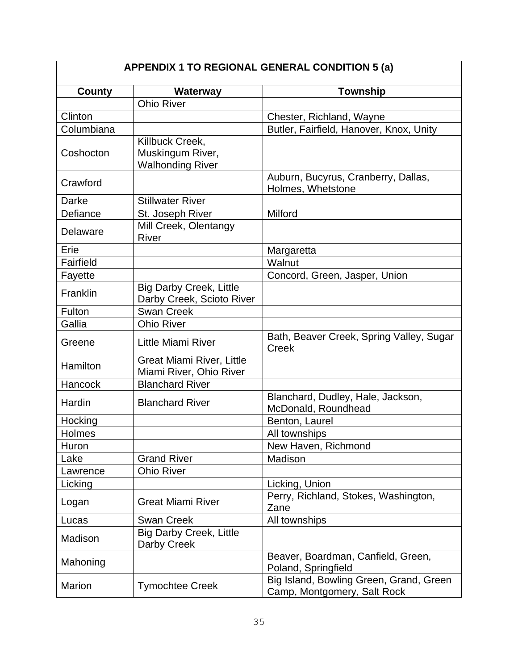| <b>APPENDIX 1 TO REGIONAL GENERAL CONDITION 5 (a)</b> |                                                             |                                                                        |  |  |
|-------------------------------------------------------|-------------------------------------------------------------|------------------------------------------------------------------------|--|--|
| County                                                | Waterway                                                    | <b>Township</b>                                                        |  |  |
|                                                       | <b>Ohio River</b>                                           |                                                                        |  |  |
| Clinton                                               |                                                             | Chester, Richland, Wayne                                               |  |  |
| Columbiana                                            |                                                             | Butler, Fairfield, Hanover, Knox, Unity                                |  |  |
|                                                       | Killbuck Creek,                                             |                                                                        |  |  |
| Coshocton                                             | Muskingum River,                                            |                                                                        |  |  |
|                                                       | <b>Walhonding River</b>                                     |                                                                        |  |  |
| Crawford                                              |                                                             | Auburn, Bucyrus, Cranberry, Dallas,                                    |  |  |
|                                                       |                                                             | Holmes, Whetstone                                                      |  |  |
| Darke                                                 | <b>Stillwater River</b>                                     |                                                                        |  |  |
| Defiance                                              | St. Joseph River                                            | Milford                                                                |  |  |
| Delaware                                              | Mill Creek, Olentangy<br><b>River</b>                       |                                                                        |  |  |
| Erie                                                  |                                                             | Margaretta                                                             |  |  |
| Fairfield                                             |                                                             | Walnut                                                                 |  |  |
| Fayette                                               |                                                             | Concord, Green, Jasper, Union                                          |  |  |
| Franklin                                              | <b>Big Darby Creek, Little</b><br>Darby Creek, Scioto River |                                                                        |  |  |
| Fulton                                                | <b>Swan Creek</b>                                           |                                                                        |  |  |
| Gallia                                                | <b>Ohio River</b>                                           |                                                                        |  |  |
| Greene                                                | Little Miami River                                          | Bath, Beaver Creek, Spring Valley, Sugar<br><b>Creek</b>               |  |  |
| Hamilton                                              | <b>Great Miami River, Little</b><br>Miami River, Ohio River |                                                                        |  |  |
| Hancock                                               | <b>Blanchard River</b>                                      |                                                                        |  |  |
| Hardin                                                | <b>Blanchard River</b>                                      | Blanchard, Dudley, Hale, Jackson,<br>McDonald, Roundhead               |  |  |
| Hocking                                               |                                                             | Benton, Laurel                                                         |  |  |
| Holmes                                                |                                                             | All townships                                                          |  |  |
| Huron                                                 |                                                             | New Haven, Richmond                                                    |  |  |
| Lake                                                  | <b>Grand River</b>                                          | Madison                                                                |  |  |
| Lawrence                                              | <b>Ohio River</b>                                           |                                                                        |  |  |
| Licking                                               |                                                             | Licking, Union                                                         |  |  |
| Logan                                                 | <b>Great Miami River</b>                                    | Perry, Richland, Stokes, Washington,<br>Zane                           |  |  |
| Lucas                                                 | <b>Swan Creek</b>                                           | All townships                                                          |  |  |
| Madison                                               | <b>Big Darby Creek, Little</b><br>Darby Creek               |                                                                        |  |  |
| Mahoning                                              |                                                             | Beaver, Boardman, Canfield, Green,<br>Poland, Springfield              |  |  |
| <b>Marion</b>                                         | <b>Tymochtee Creek</b>                                      | Big Island, Bowling Green, Grand, Green<br>Camp, Montgomery, Salt Rock |  |  |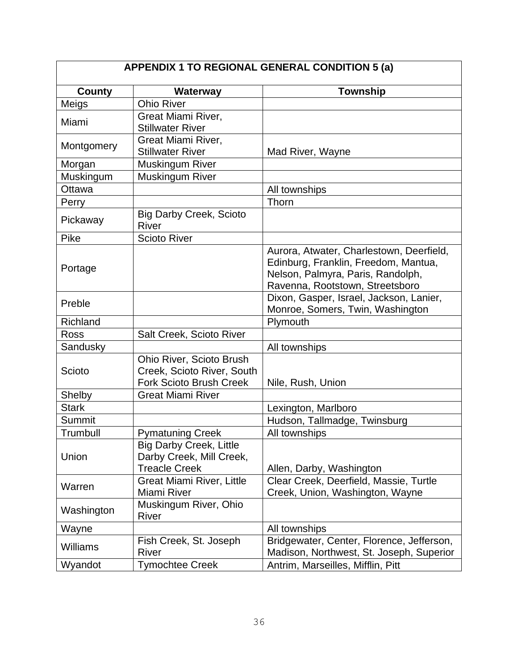| <b>APPENDIX 1 TO REGIONAL GENERAL CONDITION 5 (a)</b> |                                                                                          |                                                                                                                                                          |  |  |
|-------------------------------------------------------|------------------------------------------------------------------------------------------|----------------------------------------------------------------------------------------------------------------------------------------------------------|--|--|
| <b>County</b>                                         | Waterway                                                                                 | Township                                                                                                                                                 |  |  |
| Meigs                                                 | <b>Ohio River</b>                                                                        |                                                                                                                                                          |  |  |
| Miami                                                 | Great Miami River,<br><b>Stillwater River</b>                                            |                                                                                                                                                          |  |  |
| Montgomery                                            | Great Miami River,<br><b>Stillwater River</b>                                            | Mad River, Wayne                                                                                                                                         |  |  |
| Morgan                                                | Muskingum River                                                                          |                                                                                                                                                          |  |  |
| Muskingum                                             | <b>Muskingum River</b>                                                                   |                                                                                                                                                          |  |  |
| Ottawa                                                |                                                                                          | All townships                                                                                                                                            |  |  |
| Perry                                                 |                                                                                          | Thorn                                                                                                                                                    |  |  |
| Pickaway                                              | <b>Big Darby Creek, Scioto</b><br><b>River</b>                                           |                                                                                                                                                          |  |  |
| Pike                                                  | <b>Scioto River</b>                                                                      |                                                                                                                                                          |  |  |
| Portage                                               |                                                                                          | Aurora, Atwater, Charlestown, Deerfield,<br>Edinburg, Franklin, Freedom, Mantua,<br>Nelson, Palmyra, Paris, Randolph,<br>Ravenna, Rootstown, Streetsboro |  |  |
| Preble                                                |                                                                                          | Dixon, Gasper, Israel, Jackson, Lanier,<br>Monroe, Somers, Twin, Washington                                                                              |  |  |
| Richland                                              |                                                                                          | Plymouth                                                                                                                                                 |  |  |
| <b>Ross</b>                                           | Salt Creek, Scioto River                                                                 |                                                                                                                                                          |  |  |
| Sandusky                                              |                                                                                          | All townships                                                                                                                                            |  |  |
| Scioto                                                | Ohio River, Scioto Brush<br>Creek, Scioto River, South<br><b>Fork Scioto Brush Creek</b> | Nile, Rush, Union                                                                                                                                        |  |  |
| Shelby                                                | <b>Great Miami River</b>                                                                 |                                                                                                                                                          |  |  |
| <b>Stark</b>                                          |                                                                                          | Lexington, Marlboro                                                                                                                                      |  |  |
| Summit                                                |                                                                                          | Hudson, Tallmadge, Twinsburg                                                                                                                             |  |  |
| Trumbull                                              | <b>Pymatuning Creek</b>                                                                  | All townships                                                                                                                                            |  |  |
| Union                                                 | <b>Big Darby Creek, Little</b><br>Darby Creek, Mill Creek,<br><b>Treacle Creek</b>       | Allen, Darby, Washington                                                                                                                                 |  |  |
| Warren                                                | Great Miami River, Little<br>Miami River                                                 | Clear Creek, Deerfield, Massie, Turtle<br>Creek, Union, Washington, Wayne                                                                                |  |  |
| Washington                                            | Muskingum River, Ohio<br>River                                                           |                                                                                                                                                          |  |  |
| Wayne                                                 |                                                                                          | All townships                                                                                                                                            |  |  |
| <b>Williams</b>                                       | Fish Creek, St. Joseph<br>River                                                          | Bridgewater, Center, Florence, Jefferson,<br>Madison, Northwest, St. Joseph, Superior                                                                    |  |  |
| Wyandot                                               | <b>Tymochtee Creek</b>                                                                   | Antrim, Marseilles, Mifflin, Pitt                                                                                                                        |  |  |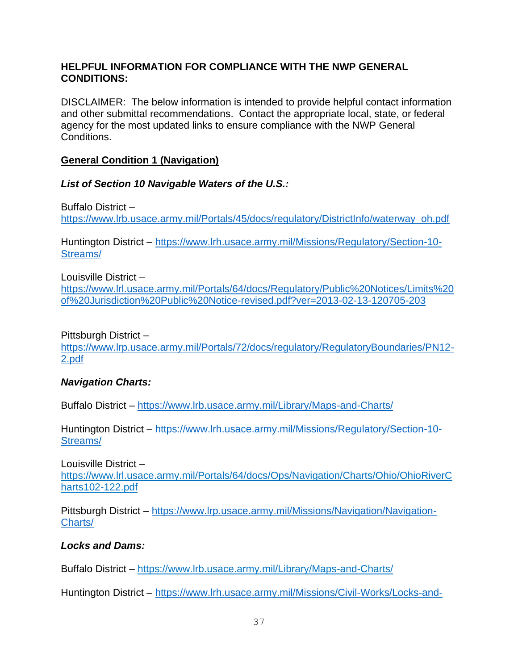#### **HELPFUL INFORMATION FOR COMPLIANCE WITH THE NWP GENERAL CONDITIONS:**

DISCLAIMER: The below information is intended to provide helpful contact information and other submittal recommendations. Contact the appropriate local, state, or federal agency for the most updated links to ensure compliance with the NWP General Conditions.

## **General Condition 1 (Navigation)**

## *List of Section 10 Navigable Waters of the U.S.:*

Buffalo District – [https://www.lrb.usace.army.mil/Portals/45/docs/regulatory/DistrictInfo/waterway\\_oh.pdf](https://www.lrb.usace.army.mil/Portals/45/docs/regulatory/DistrictInfo/waterway_oh.pdf)

Huntington District – [https://www.lrh.usace.army.mil/Missions/Regulatory/Section-10-](https://www.lrh.usace.army.mil/Missions/Regulatory/Section-10-Streams/) [Streams/](https://www.lrh.usace.army.mil/Missions/Regulatory/Section-10-Streams/)

Louisville District – [https://www.lrl.usace.army.mil/Portals/64/docs/Regulatory/Public%20Notices/Limits%20](https://www.lrl.usace.army.mil/Portals/64/docs/Regulatory/Public%20Notices/Limits%20of%20Jurisdiction%20Public%20Notice-revised.pdf?ver=2013-02-13-120705-203) [of%20Jurisdiction%20Public%20Notice-revised.pdf?ver=2013-02-13-120705-203](https://www.lrl.usace.army.mil/Portals/64/docs/Regulatory/Public%20Notices/Limits%20of%20Jurisdiction%20Public%20Notice-revised.pdf?ver=2013-02-13-120705-203)

Pittsburgh District – [https://www.lrp.usace.army.mil/Portals/72/docs/regulatory/RegulatoryBoundaries/PN12-](https://www.lrp.usace.army.mil/Portals/72/docs/regulatory/RegulatoryBoundaries/PN12-2.pdf) [2.pdf](https://www.lrp.usace.army.mil/Portals/72/docs/regulatory/RegulatoryBoundaries/PN12-2.pdf)

## *Navigation Charts:*

Buffalo District – <https://www.lrb.usace.army.mil/Library/Maps-and-Charts/>

Huntington District – [https://www.lrh.usace.army.mil/Missions/Regulatory/Section-10-](https://www.lrh.usace.army.mil/Missions/Regulatory/Section-10-Streams/) [Streams/](https://www.lrh.usace.army.mil/Missions/Regulatory/Section-10-Streams/)

Louisville District – https://www.lrl.usace.army.mil/Portals/64/docs/Ops/Navigation/Charts/Ohio/OhioRiverC harts102-122.pdf

Pittsburgh District – [https://www.lrp.usace.army.mil/Missions/Navigation/Navigation-](https://www.lrp.usace.army.mil/Missions/Navigation/Navigation-Charts/)[Charts/](https://www.lrp.usace.army.mil/Missions/Navigation/Navigation-Charts/)

## *Locks and Dams:*

Buffalo District – https://www.lrb.usace.army.mil/Library/Maps-and-Charts/

Huntington District – [https://www.lrh.usace.army.mil/Missions/Civil-Works/Locks-and-](https://www.lrh.usace.army.mil/Missions/Civil-Works/Locks-and-Dams/)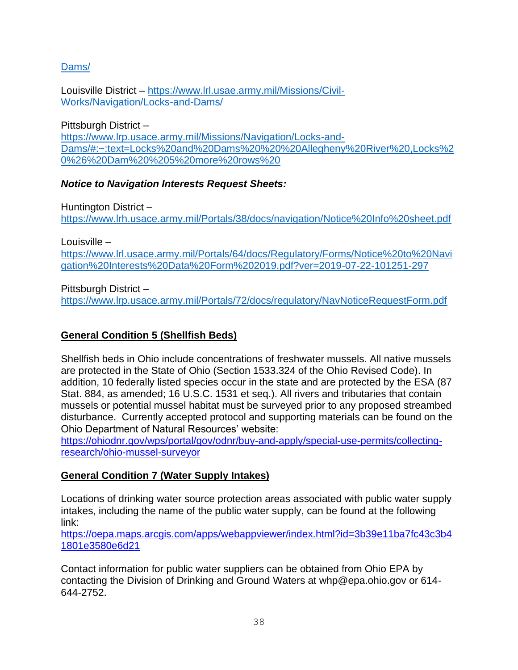# [Dams/](https://www.lrh.usace.army.mil/Missions/Civil-Works/Locks-and-Dams/)

Louisville District – [https://www.lrl.usae.army.mil/Missions/Civil-](https://www.lrl.usae.army.mil/Missions/Civil-Works/Navigation/Locks-and-Dams/)[Works/Navigation/Locks-and-Dams/](https://www.lrl.usae.army.mil/Missions/Civil-Works/Navigation/Locks-and-Dams/)

Pittsburgh District – [https://www.lrp.usace.army.mil/Missions/Navigation/Locks-and-](https://www.lrp.usace.army.mil/Missions/Navigation/Locks-and-Dams/#:~:text=Locks%20and%20Dams%20%20%20Allegheny%20River%20,Locks%20%26%20Dam%20%205%20more%20rows%20)[Dams/#:~:text=Locks%20and%20Dams%20%20%20Allegheny%20River%20,Locks%2](https://www.lrp.usace.army.mil/Missions/Navigation/Locks-and-Dams/#:~:text=Locks%20and%20Dams%20%20%20Allegheny%20River%20,Locks%20%26%20Dam%20%205%20more%20rows%20) [0%26%20Dam%20%205%20more%20rows%20](https://www.lrp.usace.army.mil/Missions/Navigation/Locks-and-Dams/#:~:text=Locks%20and%20Dams%20%20%20Allegheny%20River%20,Locks%20%26%20Dam%20%205%20more%20rows%20)

## *Notice to Navigation Interests Request Sheets:*

Huntington District – <https://www.lrh.usace.army.mil/Portals/38/docs/navigation/Notice%20Info%20sheet.pdf>

Louisville –

[https://www.lrl.usace.army.mil/Portals/64/docs/Regulatory/Forms/Notice%20to%20Navi](https://www.lrl.usace.army.mil/Portals/64/docs/Regulatory/Forms/Notice%20to%20Navigation%20Interests%20Data%20Form%202019.pdf?ver=2019-07-22-101251-297) [gation%20Interests%20Data%20Form%202019.pdf?ver=2019-07-22-101251-297](https://www.lrl.usace.army.mil/Portals/64/docs/Regulatory/Forms/Notice%20to%20Navigation%20Interests%20Data%20Form%202019.pdf?ver=2019-07-22-101251-297)

Pittsburgh District –

<https://www.lrp.usace.army.mil/Portals/72/docs/regulatory/NavNoticeRequestForm.pdf>

## **General Condition 5 (Shellfish Beds)**

Shellfish beds in Ohio include concentrations of freshwater mussels. All native mussels are protected in the State of Ohio (Section 1533.324 of the Ohio Revised Code). In addition, 10 federally listed species occur in the state and are protected by the ESA (87 Stat. 884, as amended; 16 U.S.C. 1531 et seq.). All rivers and tributaries that contain mussels or potential mussel habitat must be surveyed prior to any proposed streambed disturbance. Currently accepted protocol and supporting materials can be found on the Ohio Department of Natural Resources' website:

[https://ohiodnr.gov/wps/portal/gov/odnr/buy-and-apply/special-use-permits/collecting](https://ohiodnr.gov/wps/portal/gov/odnr/buy-and-apply/special-use-permits/collecting-research/ohio-mussel-surveyor)[research/ohio-mussel-surveyor](https://ohiodnr.gov/wps/portal/gov/odnr/buy-and-apply/special-use-permits/collecting-research/ohio-mussel-surveyor)

#### **General Condition 7 (Water Supply Intakes)**

Locations of drinking water source protection areas associated with public water supply intakes, including the name of the public water supply, can be found at the following link:

[https://oepa.maps.arcgis.com/apps/webappviewer/index.html?id=3b39e11ba7fc43c3b4](https://oepa.maps.arcgis.com/apps/webappviewer/index.html?id=3b39e11ba7fc43c3b41801e3580e6d21) [1801e3580e6d21](https://oepa.maps.arcgis.com/apps/webappviewer/index.html?id=3b39e11ba7fc43c3b41801e3580e6d21)

Contact information for public water suppliers can be obtained from Ohio EPA by contacting the Division of Drinking and Ground Waters at whp@epa.ohio.gov or 614- 644-2752.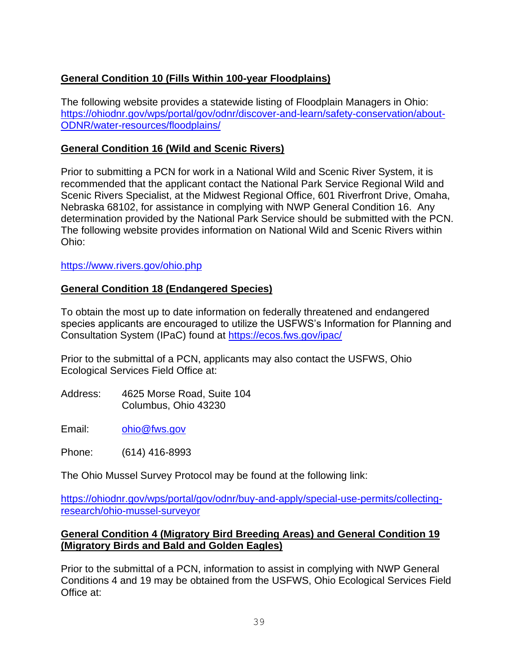# **General Condition 10 (Fills Within 100-year Floodplains)**

The following website provides a statewide listing of Floodplain Managers in Ohio: [https://ohiodnr.gov/wps/portal/gov/odnr/discover-and-learn/safety-conservation/about-](https://ohiodnr.gov/wps/portal/gov/odnr/discover-and-learn/safety-conservation/about-ODNR/water-resources/floodplains/)[ODNR/water-resources/floodplains/](https://ohiodnr.gov/wps/portal/gov/odnr/discover-and-learn/safety-conservation/about-ODNR/water-resources/floodplains/)

#### **General Condition 16 (Wild and Scenic Rivers)**

Prior to submitting a PCN for work in a National Wild and Scenic River System, it is recommended that the applicant contact the National Park Service Regional Wild and Scenic Rivers Specialist, at the Midwest Regional Office, 601 Riverfront Drive, Omaha, Nebraska 68102, for assistance in complying with NWP General Condition 16. Any determination provided by the National Park Service should be submitted with the PCN. The following website provides information on National Wild and Scenic Rivers within Ohio:

https://www.rivers.gov/ohio.php

#### **General Condition 18 (Endangered Species)**

To obtain the most up to date information on federally threatened and endangered species applicants are encouraged to utilize the USFWS's Information for Planning and Consultation System (IPaC) found at<https://ecos.fws.gov/ipac/>

Prior to the submittal of a PCN, applicants may also contact the USFWS, Ohio Ecological Services Field Office at:

Address: 4625 Morse Road, Suite 104 Columbus, Ohio 43230

Email: [ohio@fws.gov](mailto:ohio@fws.gov)

Phone: (614) 416-8993

The Ohio Mussel Survey Protocol may be found at the following link:

[https://ohiodnr.gov/wps/portal/gov/odnr/buy-and-apply/special-use-permits/collecting](https://ohiodnr.gov/wps/portal/gov/odnr/buy-and-apply/special-use-permits/collecting-research/ohio-mussel-surveyor)[research/ohio-mussel-surveyor](https://ohiodnr.gov/wps/portal/gov/odnr/buy-and-apply/special-use-permits/collecting-research/ohio-mussel-surveyor)

#### **General Condition 4 (Migratory Bird Breeding Areas) and General Condition 19 (Migratory Birds and Bald and Golden Eagles)**

Prior to the submittal of a PCN, information to assist in complying with NWP General Conditions 4 and 19 may be obtained from the USFWS, Ohio Ecological Services Field Office at: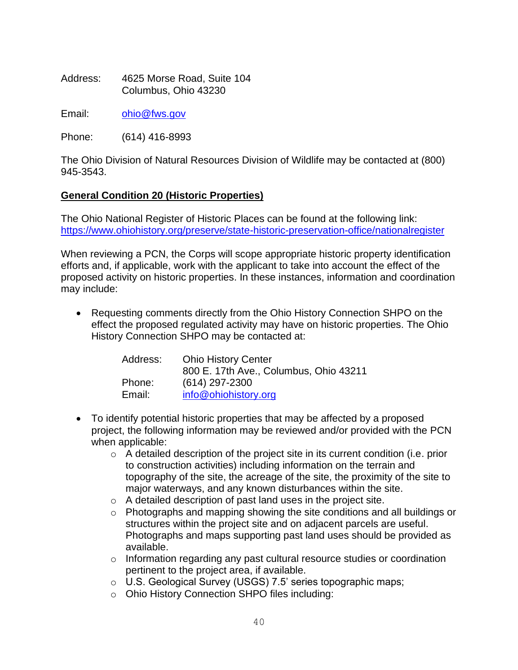Address: 4625 Morse Road, Suite 104 Columbus, Ohio 43230

Email: [ohio@fws.gov](mailto:ohio@fws.gov)

Phone: (614) 416-8993

The Ohio Division of Natural Resources Division of Wildlife may be contacted at (800) 945-3543.

## **General Condition 20 (Historic Properties)**

The Ohio National Register of Historic Places can be found at the following link: <https://www.ohiohistory.org/preserve/state-historic-preservation-office/nationalregister>

When reviewing a PCN, the Corps will scope appropriate historic property identification efforts and, if applicable, work with the applicant to take into account the effect of the proposed activity on historic properties. In these instances, information and coordination may include:

• Requesting comments directly from the Ohio History Connection SHPO on the effect the proposed regulated activity may have on historic properties. The Ohio History Connection SHPO may be contacted at:

| Address: | <b>Ohio History Center</b>             |  |
|----------|----------------------------------------|--|
|          | 800 E. 17th Ave., Columbus, Ohio 43211 |  |
| Phone:   | $(614)$ 297-2300                       |  |
| Email:   | info@ohiohistory.org                   |  |

- To identify potential historic properties that may be affected by a proposed project, the following information may be reviewed and/or provided with the PCN when applicable:
	- $\circ$  A detailed description of the project site in its current condition (i.e. prior to construction activities) including information on the terrain and topography of the site, the acreage of the site, the proximity of the site to major waterways, and any known disturbances within the site.
	- o A detailed description of past land uses in the project site.
	- o Photographs and mapping showing the site conditions and all buildings or structures within the project site and on adjacent parcels are useful. Photographs and maps supporting past land uses should be provided as available.
	- o Information regarding any past cultural resource studies or coordination pertinent to the project area, if available.
	- o U.S. Geological Survey (USGS) 7.5' series topographic maps;
	- o Ohio History Connection SHPO files including: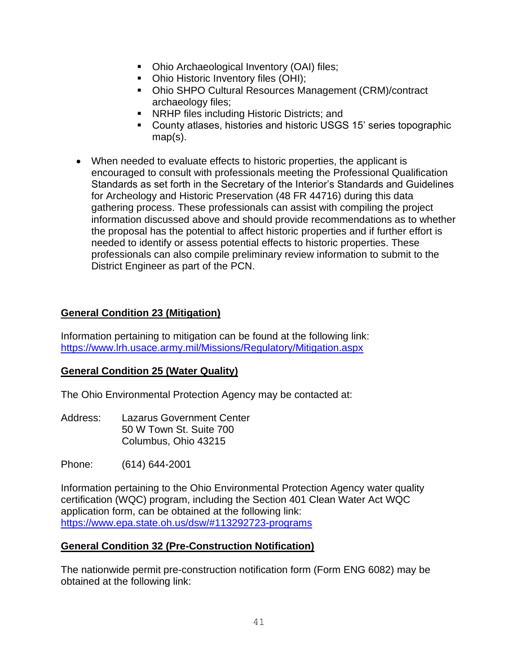- Ohio Archaeological Inventory (OAI) files;
- Ohio Historic Inventory files (OHI);
- Ohio SHPO Cultural Resources Management (CRM)/contract archaeology files;
- NRHP files including Historic Districts; and
- County atlases, histories and historic USGS 15' series topographic map(s).
- When needed to evaluate effects to historic properties, the applicant is encouraged to consult with professionals meeting the Professional Qualification Standards as set forth in the Secretary of the Interior's Standards and Guidelines for Archeology and Historic Preservation (48 FR 44716) during this data gathering process. These professionals can assist with compiling the project information discussed above and should provide recommendations as to whether the proposal has the potential to affect historic properties and if further effort is needed to identify or assess potential effects to historic properties. These professionals can also compile preliminary review information to submit to the District Engineer as part of the PCN.

## **General Condition 23 (Mitigation)**

Information pertaining to mitigation can be found at the following link: <https://www.lrh.usace.army.mil/Missions/Regulatory/Mitigation.aspx>

#### **General Condition 25 (Water Quality)**

The Ohio Environmental Protection Agency may be contacted at:

Address: Lazarus Government Center 50 W Town St. Suite 700 Columbus, Ohio 43215

Phone: (614) 644-2001

Information pertaining to the Ohio Environmental Protection Agency water quality certification (WQC) program, including the Section 401 Clean Water Act WQC application form, can be obtained at the following link: <https://www.epa.state.oh.us/dsw/#113292723-programs>

## **General Condition 32 (Pre-Construction Notification)**

The nationwide permit pre-construction notification form (Form ENG 6082) may be obtained at the following link: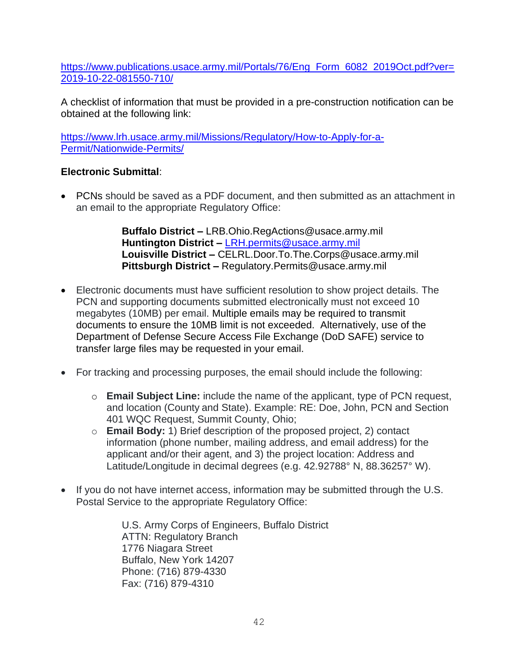[https://www.publications.usace.army.mil/Portals/76/Eng\\_Form\\_6082\\_2019Oct.pdf?ver=](https://www.publications.usace.army.mil/Portals/76/Eng_Form_6082_2019Oct.pdf?ver=2019-10-22-081550-710/) [2019-10-22-081550-710/](https://www.publications.usace.army.mil/Portals/76/Eng_Form_6082_2019Oct.pdf?ver=2019-10-22-081550-710/)

A checklist of information that must be provided in a pre-construction notification can be obtained at the following link:

[https://www.lrh.usace.army.mil/Missions/Regulatory/How-to-Apply-for-a-](https://www.lrh.usace.army.mil/Missions/Regulatory/How-to-Apply-for-a-Permit/Nationwide-Permits/)[Permit/Nationwide-Permits/](https://www.lrh.usace.army.mil/Missions/Regulatory/How-to-Apply-for-a-Permit/Nationwide-Permits/)

# **Electronic Submittal**:

• PCNs should be saved as a PDF document, and then submitted as an attachment in an email to the appropriate Regulatory Office:

> **Buffalo District –** LRB.Ohio.RegActions@usace.army.mil **Huntington District –** [LRH.permits@usace.army.mil](mailto:LRH.permits@usace.army.mil) **Louisville District –** CELRL.Door.To.The.Corps@usace.army.mil **Pittsburgh District –** Regulatory.Permits@usace.army.mil

- Electronic documents must have sufficient resolution to show project details. The PCN and supporting documents submitted electronically must not exceed 10 megabytes (10MB) per email. Multiple emails may be required to transmit documents to ensure the 10MB limit is not exceeded. Alternatively, use of the Department of Defense Secure Access File Exchange (DoD SAFE) service to transfer large files may be requested in your email.
- For tracking and processing purposes, the email should include the following:
	- o **Email Subject Line:** include the name of the applicant, type of PCN request, and location (County and State). Example: RE: Doe, John, PCN and Section 401 WQC Request, Summit County, Ohio;
	- o **Email Body:** 1) Brief description of the proposed project, 2) contact information (phone number, mailing address, and email address) for the applicant and/or their agent, and 3) the project location: Address and Latitude/Longitude in decimal degrees (e.g. 42.92788° N, 88.36257° W).
- If you do not have internet access, information may be submitted through the U.S. Postal Service to the appropriate Regulatory Office:

U.S. Army Corps of Engineers, Buffalo District ATTN: Regulatory Branch 1776 Niagara Street Buffalo, New York 14207 Phone: (716) 879-4330 Fax: (716) 879-4310